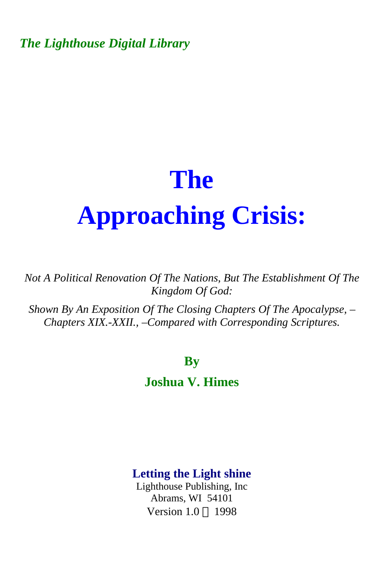*The Lighthouse Digital Library* 

# **The Approaching Crisis:**

*Not A Political Renovation Of The Nations, But The Establishment Of The Kingdom Of God:* 

*Shown By An Exposition Of The Closing Chapters Of The Apocalypse, – Chapters XIX.-XXII., –Compared with Corresponding Scriptures.* 

#### **By**

#### **Joshua V. Himes**

#### **Letting the Light shine**

Lighthouse Publishing, Inc Abrams, WI 54101 Version  $1.0 \odot 1998$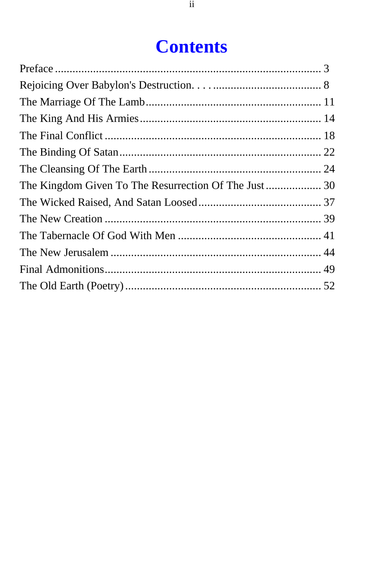# **Contents**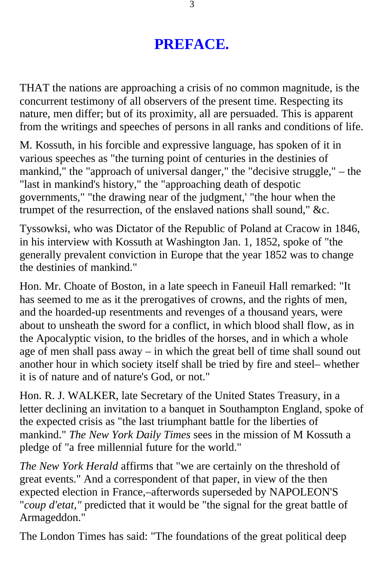# **PREFACE.**

<span id="page-2-0"></span>THAT the nations are approaching a crisis of no common magnitude, is the concurrent testimony of all observers of the present time. Respecting its nature, men differ; but of its proximity, all are persuaded. This is apparent from the writings and speeches of persons in all ranks and conditions of life.

M. Kossuth, in his forcible and expressive language, has spoken of it in various speeches as "the turning point of centuries in the destinies of mankind," the "approach of universal danger," the "decisive struggle," – the "last in mankind's history," the "approaching death of despotic governments," "the drawing near of the judgment,' "the hour when the trumpet of the resurrection, of the enslaved nations shall sound," &c.

Tyssowksi, who was Dictator of the Republic of Poland at Cracow in 1846, in his interview with Kossuth at Washington Jan. 1, 1852, spoke of "the generally prevalent conviction in Europe that the year 1852 was to change the destinies of mankind."

Hon. Mr. Choate of Boston, in a late speech in Faneuil Hall remarked: "It has seemed to me as it the prerogatives of crowns, and the rights of men, and the hoarded-up resentments and revenges of a thousand years, were about to unsheath the sword for a conflict, in which blood shall flow, as in the Apocalyptic vision, to the bridles of the horses, and in which a whole age of men shall pass away – in which the great bell of time shall sound out another hour in which society itself shall be tried by fire and steel– whether it is of nature and of nature's God, or not."

Hon. R. J. WALKER, late Secretary of the United States Treasury, in a letter declining an invitation to a banquet in Southampton England, spoke of the expected crisis as "the last triumphant battle for the liberties of mankind." *The New York Daily Times* sees in the mission of M Kossuth a pledge of "a free millennial future for the world."

*The New York Herald* affirms that "we are certainly on the threshold of great events." And a correspondent of that paper, in view of the then expected election in France,–afterwords superseded by NAPOLEON'S "*coup d'etat,"* predicted that it would be "the signal for the great battle of Armageddon."

The London Times has said: "The foundations of the great political deep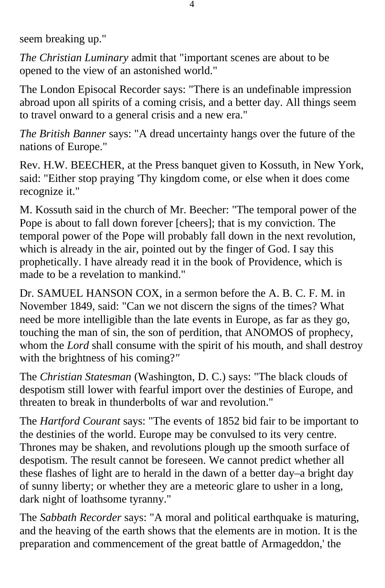seem breaking up."

*The Christian Luminary* admit that "important scenes are about to be opened to the view of an astonished world."

The London Episocal Recorder says: "There is an undefinable impression abroad upon all spirits of a coming crisis, and a better day. All things seem to travel onward to a general crisis and a new era."

*The British Banner* says: "A dread uncertainty hangs over the future of the nations of Europe."

Rev. H.W. BEECHER, at the Press banquet given to Kossuth, in New York, said: "Either stop praying 'Thy kingdom come, or else when it does come recognize it."

M. Kossuth said in the church of Mr. Beecher: "The temporal power of the Pope is about to fall down forever [cheers]; that is my conviction. The temporal power of the Pope will probably fall down in the next revolution, which is already in the air, pointed out by the finger of God. I say this prophetically. I have already read it in the book of Providence, which is made to be a revelation to mankind."

Dr. SAMUEL HANSON COX, in a sermon before the A. B. C. F. M. in November 1849, said: "Can we not discern the signs of the times? What need be more intelligible than the late events in Europe, as far as they go, touching the man of sin, the son of perdition, that ANOMOS of prophecy, whom the *Lord* shall consume with the spirit of his mouth, and shall destroy with the brightness of his coming?*"* 

The *Christian Statesman* (Washington, D. C.) says: "The black clouds of despotism still lower with fearful import over the destinies of Europe, and threaten to break in thunderbolts of war and revolution."

The *Hartford Courant* says: "The events of 1852 bid fair to be important to the destinies of the world. Europe may be convulsed to its very centre. Thrones may be shaken, and revolutions plough up the smooth surface of despotism. The result cannot be foreseen. We cannot predict whether all these flashes of light are to herald in the dawn of a better day–a bright day of sunny liberty; or whether they are a meteoric glare to usher in a long, dark night of loathsome tyranny."

The *Sabbath Recorder* says: "A moral and political earthquake is maturing, and the heaving of the earth shows that the elements are in motion. It is the preparation and commencement of the great battle of Armageddon,' the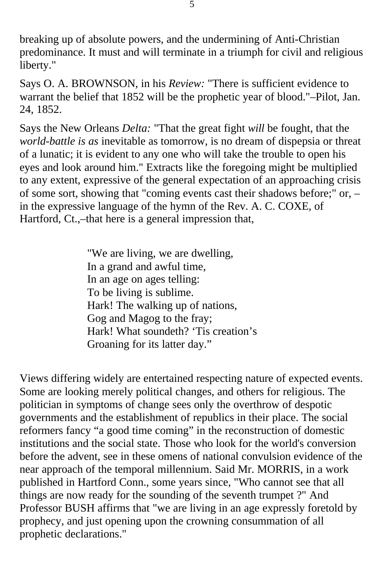breaking up of absolute powers, and the undermining of Anti-Christian predominance. It must and will terminate in a triumph for civil and religious liberty."

Says O. A. BROWNSON, in his *Review:* "There is sufficient evidence to warrant the belief that 1852 will be the prophetic year of blood."–Pilot, Jan. 24, 1852.

Says the New Orleans *Delta:* "That the great fight *will* be fought, that the *world-battle is as* inevitable as tomorrow, is no dream of dispepsia or threat of a lunatic; it is evident to any one who will take the trouble to open his eyes and look around him." Extracts like the foregoing might be multiplied to any extent, expressive of the general expectation of an approaching crisis of some sort, showing that "coming events cast their shadows before;" or, – in the expressive language of the hymn of the Rev. A. C. COXE, of Hartford, Ct.,–that here is a general impression that,

> "We are living, we are dwelling, In a grand and awful time, In an age on ages telling: To be living is sublime. Hark! The walking up of nations, Gog and Magog to the fray; Hark! What soundeth? 'Tis creation's Groaning for its latter day."

Views differing widely are entertained respecting nature of expected events. Some are looking merely political changes, and others for religious. The politician in symptoms of change sees only the overthrow of despotic governments and the establishment of republics in their place. The social reformers fancy "a good time coming" in the reconstruction of domestic institutions and the social state. Those who look for the world's conversion before the advent, see in these omens of national convulsion evidence of the near approach of the temporal millennium. Said Mr. MORRIS, in a work published in Hartford Conn., some years since, "Who cannot see that all things are now ready for the sounding of the seventh trumpet ?" And Professor BUSH affirms that "we are living in an age expressly foretold by prophecy, and just opening upon the crowning consummation of all prophetic declarations."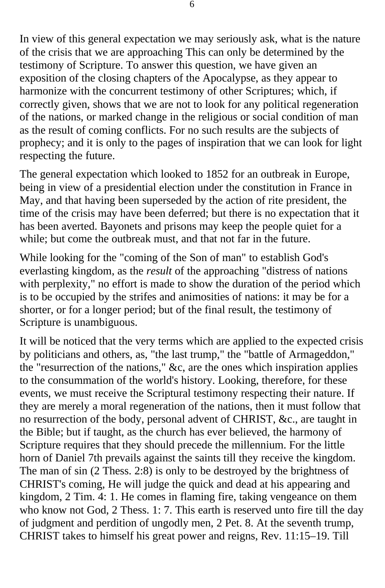In view of this general expectation we may seriously ask, what is the nature of the crisis that we are approaching This can only be determined by the testimony of Scripture. To answer this question, we have given an exposition of the closing chapters of the Apocalypse, as they appear to harmonize with the concurrent testimony of other Scriptures; which, if correctly given, shows that we are not to look for any political regeneration of the nations, or marked change in the religious or social condition of man as the result of coming conflicts. For no such results are the subjects of prophecy; and it is only to the pages of inspiration that we can look for light respecting the future.

The general expectation which looked to 1852 for an outbreak in Europe, being in view of a presidential election under the constitution in France in May, and that having been superseded by the action of rite president, the time of the crisis may have been deferred; but there is no expectation that it has been averted. Bayonets and prisons may keep the people quiet for a while; but come the outbreak must, and that not far in the future.

While looking for the "coming of the Son of man" to establish God's everlasting kingdom, as the *result* of the approaching "distress of nations with perplexity," no effort is made to show the duration of the period which is to be occupied by the strifes and animosities of nations: it may be for a shorter, or for a longer period; but of the final result, the testimony of Scripture is unambiguous.

It will be noticed that the very terms which are applied to the expected crisis by politicians and others, as, "the last trump," the "battle of Armageddon," the "resurrection of the nations," &c, are the ones which inspiration applies to the consummation of the world's history. Looking, therefore, for these events, we must receive the Scriptural testimony respecting their nature. If they are merely a moral regeneration of the nations, then it must follow that no resurrection of the body, personal advent of CHRIST, &c., are taught in the Bible; but if taught, as the church has ever believed, the harmony of Scripture requires that they should precede the millennium. For the little horn of Daniel 7th prevails against the saints till they receive the kingdom. The man of sin (2 Thess. 2:8) is only to be destroyed by the brightness of CHRIST's coming, He will judge the quick and dead at his appearing and kingdom, 2 Tim. 4: 1. He comes in flaming fire, taking vengeance on them who know not God, 2 Thess. 1: 7. This earth is reserved unto fire till the day of judgment and perdition of ungodly men, 2 Pet. 8. At the seventh trump, CHRIST takes to himself his great power and reigns, Rev. 11:15–19. Till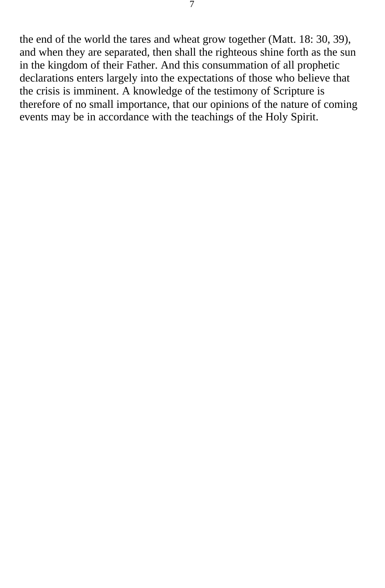the end of the world the tares and wheat grow together (Matt. 18: 30, 39), and when they are separated, then shall the righteous shine forth as the sun in the kingdom of their Father. And this consummation of all prophetic declarations enters largely into the expectations of those who believe that the crisis is imminent. A knowledge of the testimony of Scripture is therefore of no small importance, that our opinions of the nature of coming events may be in accordance with the teachings of the Holy Spirit.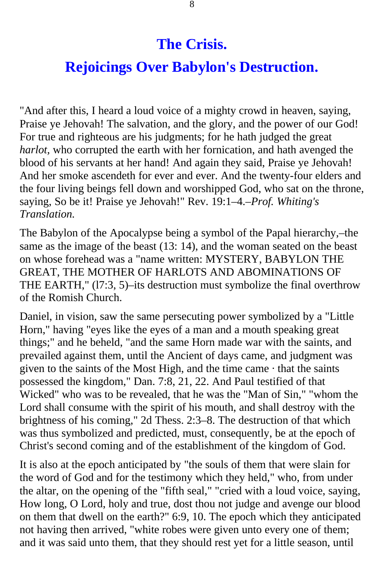# **The Crisis.**

# **Rejoicings Over Babylon's Destruction.**

<span id="page-7-0"></span>"And after this, I heard a loud voice of a mighty crowd in heaven, saying, Praise ye Jehovah! The salvation, and the glory, and the power of our God! For true and righteous are his judgments; for he hath judged the great *harlot,* who corrupted the earth with her fornication, and hath avenged the blood of his servants at her hand! And again they said, Praise ye Jehovah! And her smoke ascendeth for ever and ever. And the twenty-four elders and the four living beings fell down and worshipped God, who sat on the throne, saying, So be it! Praise ye Jehovah!" Rev. 19:1–4.–*Prof. Whiting's Translation.* 

The Babylon of the Apocalypse being a symbol of the Papal hierarchy,–the same as the image of the beast (13: 14), and the woman seated on the beast on whose forehead was a "name written: MYSTERY, BABYLON THE GREAT, THE MOTHER OF HARLOTS AND ABOMINATIONS OF THE EARTH," (l7:3, 5)–its destruction must symbolize the final overthrow of the Romish Church.

Daniel, in vision, saw the same persecuting power symbolized by a "Little Horn," having "eyes like the eyes of a man and a mouth speaking great things;" and he beheld, "and the same Horn made war with the saints, and prevailed against them, until the Ancient of days came, and judgment was given to the saints of the Most High, and the time came  $\cdot$  that the saints possessed the kingdom," Dan. 7:8, 21, 22. And Paul testified of that Wicked" who was to be revealed, that he was the "Man of Sin," "whom the Lord shall consume with the spirit of his mouth, and shall destroy with the brightness of his coming," 2d Thess. 2:3–8. The destruction of that which was thus symbolized and predicted, must, consequently, be at the epoch of Christ's second coming and of the establishment of the kingdom of God.

It is also at the epoch anticipated by "the souls of them that were slain for the word of God and for the testimony which they held," who, from under the altar, on the opening of the "fifth seal," "cried with a loud voice, saying, How long, O Lord, holy and true, dost thou not judge and avenge our blood on them that dwell on the earth?" 6:9, 10. The epoch which they anticipated not having then arrived, "white robes were given unto every one of them; and it was said unto them, that they should rest yet for a little season, until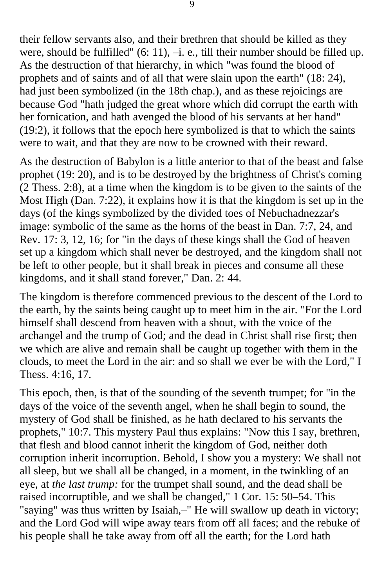their fellow servants also, and their brethren that should be killed as they were, should be fulfilled" (6: 11), –i. e., till their number should be filled up. As the destruction of that hierarchy, in which "was found the blood of prophets and of saints and of all that were slain upon the earth" (18: 24), had just been symbolized (in the 18th chap.), and as these rejoicings are because God "hath judged the great whore which did corrupt the earth with her fornication, and hath avenged the blood of his servants at her hand" (19:2), it follows that the epoch here symbolized is that to which the saints were to wait, and that they are now to be crowned with their reward.

As the destruction of Babylon is a little anterior to that of the beast and false prophet (19: 20), and is to be destroyed by the brightness of Christ's coming (2 Thess. 2:8), at a time when the kingdom is to be given to the saints of the Most High (Dan. 7:22), it explains how it is that the kingdom is set up in the days (of the kings symbolized by the divided toes of Nebuchadnezzar's image: symbolic of the same as the horns of the beast in Dan. 7:7, 24, and Rev. 17: 3, 12, 16; for "in the days of these kings shall the God of heaven set up a kingdom which shall never be destroyed, and the kingdom shall not be left to other people, but it shall break in pieces and consume all these kingdoms, and it shall stand forever," Dan. 2: 44.

The kingdom is therefore commenced previous to the descent of the Lord to the earth, by the saints being caught up to meet him in the air. "For the Lord himself shall descend from heaven with a shout, with the voice of the archangel and the trump of God; and the dead in Christ shall rise first; then we which are alive and remain shall be caught up together with them in the clouds, to meet the Lord in the air: and so shall we ever be with the Lord," I Thess. 4:16, 17.

This epoch, then, is that of the sounding of the seventh trumpet; for "in the days of the voice of the seventh angel, when he shall begin to sound, the mystery of God shall be finished, as he hath declared to his servants the prophets," 10:7. This mystery Paul thus explains: "Now this I say, brethren, that flesh and blood cannot inherit the kingdom of God, neither doth corruption inherit incorruption. Behold, I show you a mystery: We shall not all sleep, but we shall all be changed, in a moment, in the twinkling of an eye, at *the last trump:* for the trumpet shall sound, and the dead shall be raised incorruptible, and we shall be changed," 1 Cor. 15: 50–54. This "saying" was thus written by Isaiah,–" He will swallow up death in victory; and the Lord God will wipe away tears from off all faces; and the rebuke of his people shall he take away from off all the earth; for the Lord hath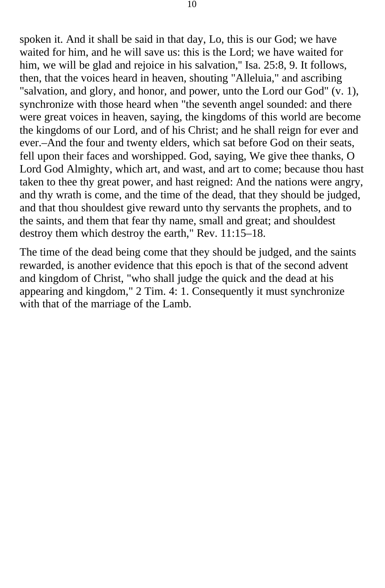spoken it. And it shall be said in that day, Lo, this is our God; we have waited for him, and he will save us: this is the Lord; we have waited for him, we will be glad and rejoice in his salvation," Isa. 25:8, 9. It follows, then, that the voices heard in heaven, shouting "Alleluia," and ascribing "salvation, and glory, and honor, and power, unto the Lord our God" (v. 1), synchronize with those heard when "the seventh angel sounded: and there were great voices in heaven, saying, the kingdoms of this world are become the kingdoms of our Lord, and of his Christ; and he shall reign for ever and ever.–And the four and twenty elders, which sat before God on their seats, fell upon their faces and worshipped. God, saying, We give thee thanks, O Lord God Almighty, which art, and wast, and art to come; because thou hast taken to thee thy great power, and hast reigned: And the nations were angry, and thy wrath is come, and the time of the dead, that they should be judged, and that thou shouldest give reward unto thy servants the prophets, and to the saints, and them that fear thy name, small and great; and shouldest destroy them which destroy the earth," Rev. 11:15–18.

The time of the dead being come that they should be judged, and the saints rewarded, is another evidence that this epoch is that of the second advent and kingdom of Christ, "who shall judge the quick and the dead at his appearing and kingdom," 2 Tim. 4: 1. Consequently it must synchronize with that of the marriage of the Lamb.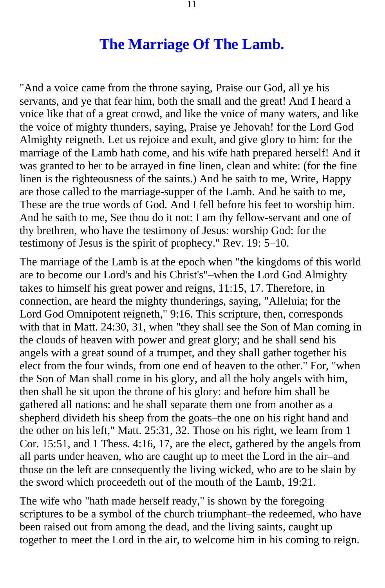#### **The Marriage Of The Lamb.**

<span id="page-10-0"></span>"And a voice came from the throne saying, Praise our God, all ye his servants, and ye that fear him, both the small and the great! And I heard a voice like that of a great crowd, and like the voice of many waters, and like the voice of mighty thunders, saying, Praise ye Jehovah! for the Lord God Almighty reigneth. Let us rejoice and exult, and give glory to him: for the marriage of the Lamb hath come, and his wife hath prepared herself! And it was granted to her to be arrayed in fine linen, clean and white: (for the fine linen is the righteousness of the saints.) And he saith to me, Write, Happy are those called to the marriage-supper of the Lamb. And he saith to me, These are the true words of God. And I fell before his feet to worship him. And he saith to me, See thou do it not: I am thy fellow-servant and one of thy brethren, who have the testimony of Jesus: worship God: for the testimony of Jesus is the spirit of prophecy." Rev. 19: 5–10.

The marriage of the Lamb is at the epoch when "the kingdoms of this world are to become our Lord's and his Christ's"–when the Lord God Almighty takes to himself his great power and reigns, 11:15, 17. Therefore, in connection, are heard the mighty thunderings, saying, "Alleluia; for the Lord God Omnipotent reigneth," 9:16. This scripture, then, corresponds with that in Matt. 24:30, 31, when "they shall see the Son of Man coming in the clouds of heaven with power and great glory; and he shall send his angels with a great sound of a trumpet, and they shall gather together his elect from the four winds, from one end of heaven to the other." For, "when the Son of Man shall come in his glory, and all the holy angels with him, then shall he sit upon the throne of his glory: and before him shall be gathered all nations: and he shall separate them one from another as a shepherd divideth his sheep from the goats–the one on his right hand and the other on his left," Matt. 25:31, 32. Those on his right, we learn from 1 Cor. 15:51, and 1 Thess. 4:16, 17, are the elect, gathered by the angels from all parts under heaven, who are caught up to meet the Lord in the air–and those on the left are consequently the living wicked, who are to be slain by the sword which proceedeth out of the mouth of the Lamb, 19:21.

The wife who "hath made herself ready," is shown by the foregoing scriptures to be a symbol of the church triumphant–the redeemed, who have been raised out from among the dead, and the living saints, caught up together to meet the Lord in the air, to welcome him in his coming to reign.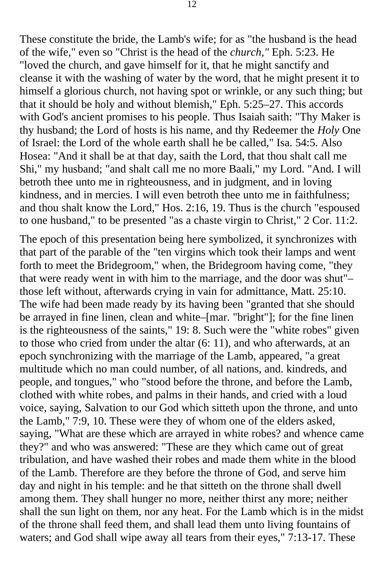These constitute the bride, the Lamb's wife; for as "the husband is the head of the wife," even so "Christ is the head of the *church,"* Eph. 5:23. He "loved the church, and gave himself for it, that he might sanctify and cleanse it with the washing of water by the word, that he might present it to himself a glorious church, not having spot or wrinkle, or any such thing; but that it should be holy and without blemish," Eph. 5:25–27. This accords with God's ancient promises to his people. Thus Isaiah saith: "Thy Maker is thy husband; the Lord of hosts is his name, and thy Redeemer the *Holy* One of Israel: the Lord of the whole earth shall he be called," Isa. 54:5. Also Hosea: "And it shall be at that day, saith the Lord, that thou shalt call me Shi," my husband; "and shalt call me no more Baali," my Lord. "And. I will betroth thee unto me in righteousness, and in judgment, and in loving kindness, and in mercies. I will even betroth thee unto me in faithfulness; and thou shalt know the Lord," Hos. 2:16, 19. Thus is the church "espoused to one husband," to be presented "as a chaste virgin to Christ," 2 Cor. 11:2.

The epoch of this presentation being here symbolized, it synchronizes with that part of the parable of the "ten virgins which took their lamps and went forth to meet the Bridegroom," when, the Bridegroom having come, "they that were ready went in with him to the marriage, and the door was shut"– those left without, afterwards crying in vain for admittance, Matt. 25:10. The wife had been made ready by its having been "granted that she should be arrayed in fine linen, clean and white–[mar. "bright"]; for the fine linen is the righteousness of the saints," 19: 8. Such were the "white robes" given to those who cried from under the altar (6: 11), and who afterwards, at an epoch synchronizing with the marriage of the Lamb, appeared, "a great multitude which no man could number, of all nations, and. kindreds, and people, and tongues," who "stood before the throne, and before the Lamb, clothed with white robes, and palms in their hands, and cried with a loud voice, saying, Salvation to our God which sitteth upon the throne, and unto the Lamb," 7:9, 10. These were they of whom one of the elders asked, saying, "What are these which are arrayed in white robes? and whence came they?" and who was answered: "These are they which came out of great tribulation, and have washed their robes and made them white in the blood of the Lamb. Therefore are they before the throne of God, and serve him day and night in his temple: and he that sitteth on the throne shall dwell among them. They shall hunger no more, neither thirst any more; neither shall the sun light on them, nor any heat. For the Lamb which is in the midst of the throne shall feed them, and shall lead them unto living fountains of waters; and God shall wipe away all tears from their eyes," 7:13-17. These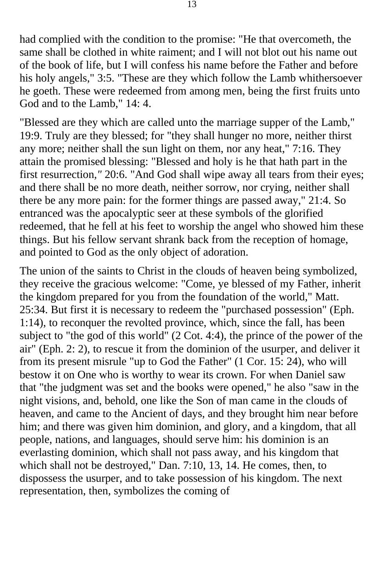had complied with the condition to the promise: "He that overcometh, the same shall be clothed in white raiment; and I will not blot out his name out of the book of life, but I will confess his name before the Father and before his holy angels," 3:5. "These are they which follow the Lamb whithersoever he goeth. These were redeemed from among men, being the first fruits unto God and to the Lamb," 14: 4.

"Blessed are they which are called unto the marriage supper of the Lamb," 19:9. Truly are they blessed; for "they shall hunger no more, neither thirst any more; neither shall the sun light on them, nor any heat," 7:16. They attain the promised blessing: "Blessed and holy is he that hath part in the first resurrection*,"* 20:6. "And God shall wipe away all tears from their eyes; and there shall be no more death, neither sorrow, nor crying, neither shall there be any more pain: for the former things are passed away," 21:4. So entranced was the apocalyptic seer at these symbols of the glorified redeemed, that he fell at his feet to worship the angel who showed him these things. But his fellow servant shrank back from the reception of homage, and pointed to God as the only object of adoration.

The union of the saints to Christ in the clouds of heaven being symbolized, they receive the gracious welcome: "Come, ye blessed of my Father, inherit the kingdom prepared for you from the foundation of the world," Matt. 25:34. But first it is necessary to redeem the "purchased possession" (Eph. 1:14), to reconquer the revolted province, which, since the fall, has been subject to "the god of this world" (2 Cot. 4:4), the prince of the power of the air" (Eph. 2: 2), to rescue it from the dominion of the usurper, and deliver it from its present misrule "up to God the Father" (1 Cor. 15: 24), who will bestow it on One who is worthy to wear its crown. For when Daniel saw that "the judgment was set and the books were opened," he also "saw in the night visions, and, behold, one like the Son of man came in the clouds of heaven, and came to the Ancient of days, and they brought him near before him; and there was given him dominion, and glory, and a kingdom, that all people, nations, and languages, should serve him: his dominion is an everlasting dominion, which shall not pass away, and his kingdom that which shall not be destroyed," Dan. 7:10, 13, 14. He comes, then, to dispossess the usurper, and to take possession of his kingdom. The next representation, then, symbolizes the coming of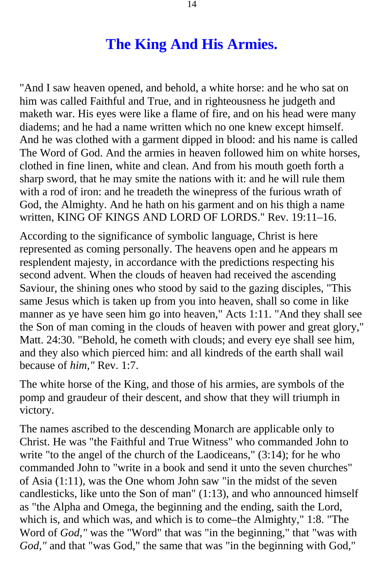#### **The King And His Armies.**

<span id="page-13-0"></span>"And I saw heaven opened, and behold, a white horse: and he who sat on him was called Faithful and True, and in righteousness he judgeth and maketh war. His eyes were like a flame of fire, and on his head were many diadems; and he had a name written which no one knew except himself. And he was clothed with a garment dipped in blood: and his name is called The Word of God. And the armies in heaven followed him on white horses, clothed in fine linen, white and clean. And from his mouth goeth forth a sharp sword, that he may smite the nations with it: and he will rule them with a rod of iron: and he treadeth the winepress of the furious wrath of God, the Almighty. And he hath on his garment and on his thigh a name written, KING OF KINGS AND LORD OF LORDS." Rev. 19:11–16.

According to the significance of symbolic language, Christ is here represented as coming personally. The heavens open and he appears m resplendent majesty, in accordance with the predictions respecting his second advent. When the clouds of heaven had received the ascending Saviour, the shining ones who stood by said to the gazing disciples, "This same Jesus which is taken up from you into heaven, shall so come in like manner as ye have seen him go into heaven," Acts 1:11. "And they shall see the Son of man coming in the clouds of heaven with power and great glory," Matt. 24:30. "Behold, he cometh with clouds; and every eye shall see him, and they also which pierced him: and all kindreds of the earth shall wail because of *him,"* Rev. 1:7.

The white horse of the King, and those of his armies, are symbols of the pomp and graudeur of their descent, and show that they will triumph in victory.

The names ascribed to the descending Monarch are applicable only to Christ. He was "the Faithful and True Witness" who commanded John to write "to the angel of the church of the Laodiceans," (3:14); for he who commanded John to "write in a book and send it unto the seven churches" of Asia (1:11), was the One whom John saw "in the midst of the seven candlesticks, like unto the Son of man" (1:13), and who announced himself as "the Alpha and Omega, the beginning and the ending, saith the Lord, which is, and which was, and which is to come–the Almighty," 1:8. "The Word of *God,"* was the "Word" that was "in the beginning," that "was with *God,"* and that "was God," the same that was "in the beginning with God,"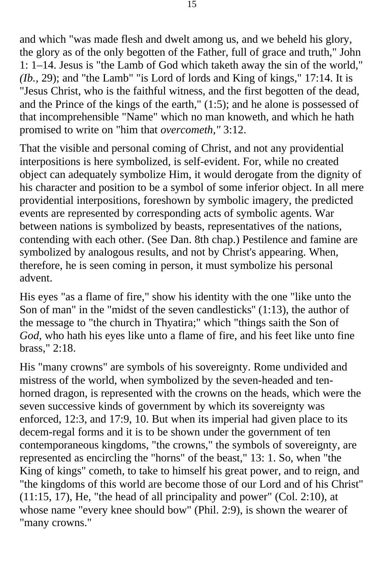and which "was made flesh and dwelt among us, and we beheld his glory, the glory as of the only begotten of the Father, full of grace and truth," John 1: 1–14. Jesus is "the Lamb of God which taketh away the sin of the world," *(Ib.,* 29); and "the Lamb" "is Lord of lords and King of kings," 17:14. It is "Jesus Christ, who is the faithful witness, and the first begotten of the dead, and the Prince of the kings of the earth," (1:5); and he alone is possessed of that incomprehensible "Name" which no man knoweth, and which he hath promised to write on "him that *overcometh,"* 3:12.

That the visible and personal coming of Christ, and not any providential interpositions is here symbolized, is self-evident. For, while no created object can adequately symbolize Him, it would derogate from the dignity of his character and position to be a symbol of some inferior object. In all mere providential interpositions, foreshown by symbolic imagery, the predicted events are represented by corresponding acts of symbolic agents. War between nations is symbolized by beasts, representatives of the nations, contending with each other. (See Dan. 8th chap.) Pestilence and famine are symbolized by analogous results, and not by Christ's appearing. When, therefore, he is seen coming in person, it must symbolize his personal advent.

His eyes "as a flame of fire," show his identity with the one "like unto the Son of man" in the "midst of the seven candlesticks'' (1:13), the author of the message to "the church in Thyatira;" which "things saith the Son of *God,* who hath his eyes like unto a flame of fire, and his feet like unto fine brass," 2:18.

His "many crowns" are symbols of his sovereignty. Rome undivided and mistress of the world, when symbolized by the seven-headed and tenhorned dragon, is represented with the crowns on the heads, which were the seven successive kinds of government by which its sovereignty was enforced, 12:3, and 17:9, 10. But when its imperial had given place to its decem-regal forms and it is to be shown under the government of ten contemporaneous kingdoms, "the crowns," the symbols of sovereignty, are represented as encircling the "horns" of the beast," 13: 1. So, when "the King of kings" cometh, to take to himself his great power, and to reign, and "the kingdoms of this world are become those of our Lord and of his Christ" (11:15, 17), He, "the head of all principality and power" (Col. 2:10), at whose name "every knee should bow" (Phil. 2:9), is shown the wearer of "many crowns."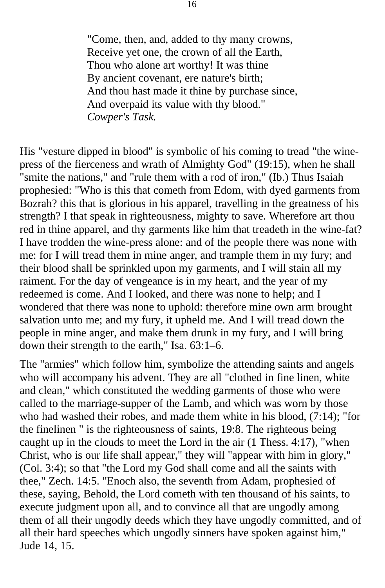"Come, then, and, added to thy many crowns, Receive yet one, the crown of all the Earth, Thou who alone art worthy! It was thine By ancient covenant, ere nature's birth; And thou hast made it thine by purchase since, And overpaid its value with thy blood." *Cowper's Task.* 

His "vesture dipped in blood" is symbolic of his coming to tread "the winepress of the fierceness and wrath of Almighty God" (19:15), when he shall "smite the nations," and "rule them with a rod of iron," (Ib.) Thus Isaiah prophesied: "Who is this that cometh from Edom, with dyed garments from Bozrah? this that is glorious in his apparel, travelling in the greatness of his strength? I that speak in righteousness, mighty to save. Wherefore art thou red in thine apparel, and thy garments like him that treadeth in the wine-fat? I have trodden the wine-press alone: and of the people there was none with me: for I will tread them in mine anger, and trample them in my fury; and their blood shall be sprinkled upon my garments, and I will stain all my raiment. For the day of vengeance is in my heart, and the year of my redeemed is come. And I looked, and there was none to help; and I wondered that there was none to uphold: therefore mine own arm brought salvation unto me; and my fury, it upheld me. And I will tread down the people in mine anger, and make them drunk in my fury, and I will bring down their strength to the earth," Isa. 63:1–6.

The "armies" which follow him, symbolize the attending saints and angels who will accompany his advent. They are all "clothed in fine linen, white and clean," which constituted the wedding garments of those who were called to the marriage-supper of the Lamb, and which was worn by those who had washed their robes, and made them white in his blood, (7:14); "for the finelinen " is the righteousness of saints, 19:8. The righteous being caught up in the clouds to meet the Lord in the air (1 Thess. 4:17), "when Christ, who is our life shall appear," they will "appear with him in glory," (Col. 3:4); so that "the Lord my God shall come and all the saints with thee," Zech. 14:5. "Enoch also, the seventh from Adam, prophesied of these, saying, Behold, the Lord cometh with ten thousand of his saints, to execute judgment upon all, and to convince all that are ungodly among them of all their ungodly deeds which they have ungodly committed, and of all their hard speeches which ungodly sinners have spoken against him," Jude 14, 15.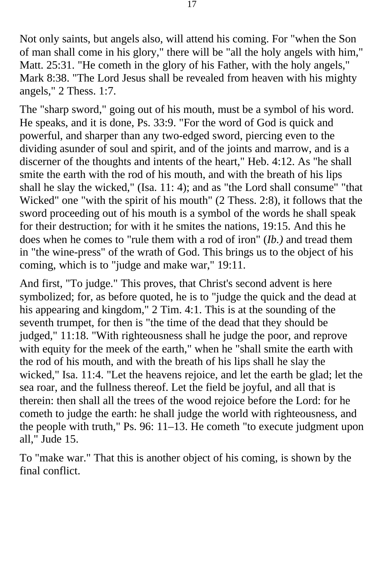Not only saints, but angels also, will attend his coming. For "when the Son of man shall come in his glory," there will be "all the holy angels with him," Matt. 25:31. "He cometh in the glory of his Father, with the holy angels," Mark 8:38. "The Lord Jesus shall be revealed from heaven with his mighty angels," 2 Thess. 1:7.

The "sharp sword," going out of his mouth, must be a symbol of his word. He speaks, and it is done, Ps. 33:9. "For the word of God is quick and powerful, and sharper than any two-edged sword, piercing even to the dividing asunder of soul and spirit, and of the joints and marrow, and is a discerner of the thoughts and intents of the heart," Heb. 4:12. As "he shall smite the earth with the rod of his mouth, and with the breath of his lips shall he slay the wicked," (Isa. 11: 4); and as "the Lord shall consume" "that Wicked" one "with the spirit of his mouth" (2 Thess. 2:8), it follows that the sword proceeding out of his mouth is a symbol of the words he shall speak for their destruction; for with it he smites the nations, 19:15. And this he does when he comes to "rule them with a rod of iron" (*Ib.)* and tread them in "the wine-press" of the wrath of God. This brings us to the object of his coming, which is to "judge and make war," 19:11.

And first, "To judge." This proves, that Christ's second advent is here symbolized; for, as before quoted, he is to "judge the quick and the dead at his appearing and kingdom," 2 Tim. 4:1. This is at the sounding of the seventh trumpet, for then is "the time of the dead that they should be judged," 11:18. "With righteousness shall he judge the poor, and reprove with equity for the meek of the earth," when he "shall smite the earth with the rod of his mouth, and with the breath of his lips shall he slay the wicked," Isa. 11:4. "Let the heavens rejoice, and let the earth be glad; let the sea roar, and the fullness thereof. Let the field be joyful, and all that is therein: then shall all the trees of the wood rejoice before the Lord: for he cometh to judge the earth: he shall judge the world with righteousness, and the people with truth," Ps. 96: 11–13. He cometh "to execute judgment upon all," Jude 15.

To "make war." That this is another object of his coming, is shown by the final conflict.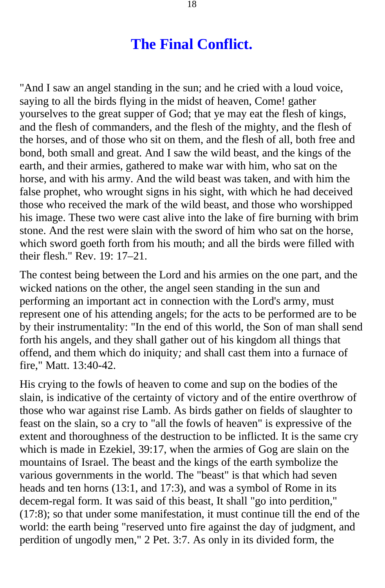#### **The Final Conflict.**

<span id="page-17-0"></span>"And I saw an angel standing in the sun; and he cried with a loud voice, saying to all the birds flying in the midst of heaven, Come! gather yourselves to the great supper of God; that ye may eat the flesh of kings, and the flesh of commanders, and the flesh of the mighty, and the flesh of the horses, and of those who sit on them, and the flesh of all, both free and bond, both small and great. And I saw the wild beast, and the kings of the earth, and their armies, gathered to make war with him, who sat on the horse, and with his army. And the wild beast was taken, and with him the false prophet, who wrought signs in his sight, with which he had deceived those who received the mark of the wild beast, and those who worshipped his image. These two were cast alive into the lake of fire burning with brim stone. And the rest were slain with the sword of him who sat on the horse, which sword goeth forth from his mouth; and all the birds were filled with their flesh." Rev. 19: 17–21.

The contest being between the Lord and his armies on the one part, and the wicked nations on the other, the angel seen standing in the sun and performing an important act in connection with the Lord's army, must represent one of his attending angels; for the acts to be performed are to be by their instrumentality: "In the end of this world, the Son of man shall send forth his angels, and they shall gather out of his kingdom all things that offend, and them which do iniquity*;* and shall cast them into a furnace of fire," Matt. 13:40-42.

His crying to the fowls of heaven to come and sup on the bodies of the slain, is indicative of the certainty of victory and of the entire overthrow of those who war against rise Lamb. As birds gather on fields of slaughter to feast on the slain, so a cry to "all the fowls of heaven" is expressive of the extent and thoroughness of the destruction to be inflicted. It is the same cry which is made in Ezekiel, 39:17, when the armies of Gog are slain on the mountains of Israel. The beast and the kings of the earth symbolize the various governments in the world. The "beast" is that which had seven heads and ten horns (13:1, and 17:3), and was a symbol of Rome in its decem-regal form. It was said of this beast, It shall "go into perdition," (17:8); so that under some manifestation, it must continue till the end of the world: the earth being "reserved unto fire against the day of judgment, and perdition of ungodly men," 2 Pet. 3:7. As only in its divided form, the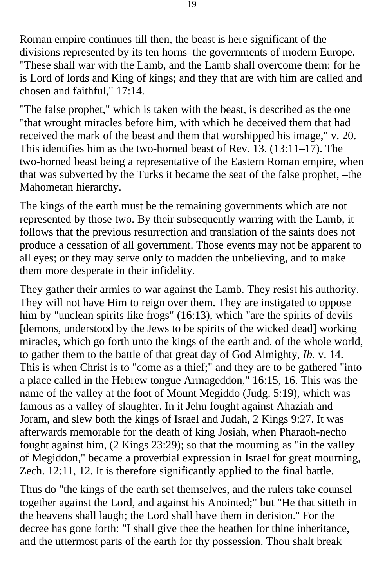Roman empire continues till then, the beast is here significant of the divisions represented by its ten horns–the governments of modern Europe. "These shall war with the Lamb, and the Lamb shall overcome them: for he is Lord of lords and King of kings; and they that are with him are called and chosen and faithful," 17:14.

"The false prophet," which is taken with the beast, is described as the one "that wrought miracles before him, with which he deceived them that had received the mark of the beast and them that worshipped his image," v. 20. This identifies him as the two-horned beast of Rev. 13. (13:11–17). The two-horned beast being a representative of the Eastern Roman empire, when that was subverted by the Turks it became the seat of the false prophet, –the Mahometan hierarchy.

The kings of the earth must be the remaining governments which are not represented by those two. By their subsequently warring with the Lamb, it follows that the previous resurrection and translation of the saints does not produce a cessation of all government. Those events may not be apparent to all eyes; or they may serve only to madden the unbelieving, and to make them more desperate in their infidelity.

They gather their armies to war against the Lamb. They resist his authority. They will not have Him to reign over them. They are instigated to oppose him by "unclean spirits like frogs" (16:13), which "are the spirits of devils [demons, understood by the Jews to be spirits of the wicked dead] working miracles, which go forth unto the kings of the earth and. of the whole world, to gather them to the battle of that great day of God Almighty, *Ib.* v. 14. This is when Christ is to "come as a thief;" and they are to be gathered "into a place called in the Hebrew tongue Armageddon," 16:15, 16. This was the name of the valley at the foot of Mount Megiddo (Judg. 5:19), which was famous as a valley of slaughter. In it Jehu fought against Ahaziah and Joram, and slew both the kings of Israel and Judah, 2 Kings 9:27. It was afterwards memorable for the death of king Josiah, when Pharaoh-necho fought against him, (2 Kings 23:29); so that the mourning as "in the valley of Megiddon," became a proverbial expression in Israel for great mourning, Zech. 12:11, 12. It is therefore significantly applied to the final battle.

Thus do "the kings of the earth set themselves, and the rulers take counsel together against the Lord, and against his Anointed;" but "He that sitteth in the heavens shall laugh; the Lord shall have them in derision.'' For the decree has gone forth: "I shall give thee the heathen for thine inheritance, and the uttermost parts of the earth for thy possession. Thou shalt break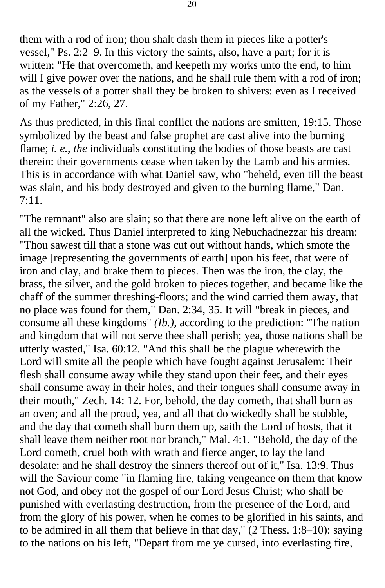them with a rod of iron; thou shalt dash them in pieces like a potter's vessel," Ps. 2:2–9. In this victory the saints, also, have a part; for it is written: "He that overcometh, and keepeth my works unto the end, to him will I give power over the nations, and he shall rule them with a rod of iron; as the vessels of a potter shall they be broken to shivers: even as I received of my Father," 2:26, 27.

As thus predicted, in this final conflict the nations are smitten, 19:15. Those symbolized by the beast and false prophet are cast alive into the burning flame; *i. e., the* individuals constituting the bodies of those beasts are cast therein: their governments cease when taken by the Lamb and his armies. This is in accordance with what Daniel saw, who "beheld, even till the beast was slain, and his body destroyed and given to the burning flame," Dan. 7:11.

"The remnant" also are slain; so that there are none left alive on the earth of all the wicked. Thus Daniel interpreted to king Nebuchadnezzar his dream: "Thou sawest till that a stone was cut out without hands, which smote the image [representing the governments of earth] upon his feet, that were of iron and clay, and brake them to pieces. Then was the iron, the clay, the brass, the silver, and the gold broken to pieces together, and became like the chaff of the summer threshing-floors; and the wind carried them away, that no place was found for them," Dan. 2:34, 35. It will "break in pieces, and consume all these kingdoms" *(Ib.),* according to the prediction: "The nation and kingdom that will not serve thee shall perish; yea, those nations shall be utterly wasted," Isa. 60:12. "And this shall be the plague wherewith the Lord will smite all the people which have fought against Jerusalem: Their flesh shall consume away while they stand upon their feet, and their eyes shall consume away in their holes, and their tongues shall consume away in their mouth," Zech. 14: 12. For, behold, the day cometh, that shall burn as an oven; and all the proud, yea, and all that do wickedly shall be stubble, and the day that cometh shall burn them up, saith the Lord of hosts, that it shall leave them neither root nor branch," Mal. 4:1. "Behold, the day of the Lord cometh, cruel both with wrath and fierce anger, to lay the land desolate: and he shall destroy the sinners thereof out of it," Isa. 13:9. Thus will the Saviour come "in flaming fire, taking vengeance on them that know not God, and obey not the gospel of our Lord Jesus Christ; who shall be punished with everlasting destruction, from the presence of the Lord, and from the glory of his power, when he comes to be glorified in his saints, and to be admired in all them that believe in that day," (2 Thess. 1:8–10): saying to the nations on his left, "Depart from me ye cursed, into everlasting fire,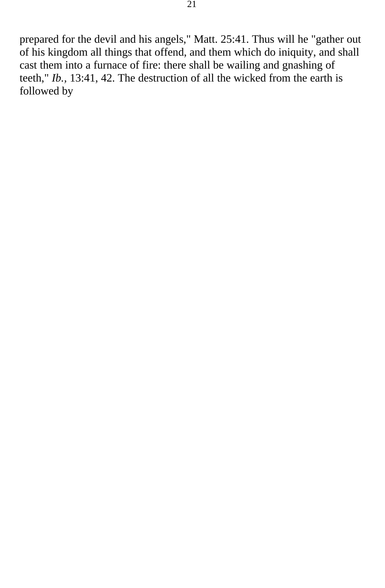prepared for the devil and his angels," Matt. 25:41. Thus will he "gather out of his kingdom all things that offend, and them which do iniquity, and shall cast them into a furnace of fire: there shall be wailing and gnashing of teeth," *Ib.,* 13:41, 42. The destruction of all the wicked from the earth is followed by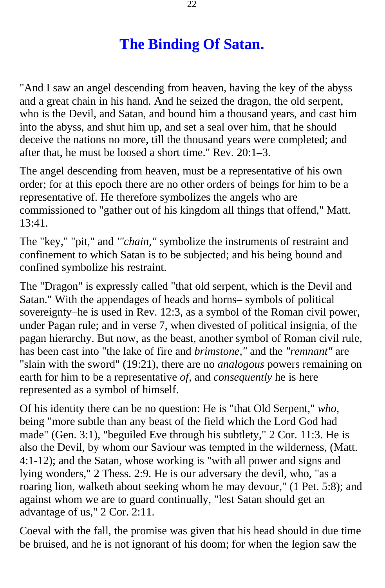# **The Binding Of Satan.**

<span id="page-21-0"></span>"And I saw an angel descending from heaven, having the key of the abyss and a great chain in his hand. And he seized the dragon, the old serpent, who is the Devil, and Satan, and bound him a thousand years, and cast him into the abyss, and shut him up, and set a seal over him, that he should deceive the nations no more, till the thousand years were completed; and after that, he must be loosed a short time." Rev. 20:1–3.

The angel descending from heaven, must be a representative of his own order; for at this epoch there are no other orders of beings for him to be a representative of. He therefore symbolizes the angels who are commissioned to "gather out of his kingdom all things that offend," Matt. 13:41.

The "key," "pit," and *'"chain,"* symbolize the instruments of restraint and confinement to which Satan is to be subjected; and his being bound and confined symbolize his restraint.

The "Dragon" is expressly called "that old serpent, which is the Devil and Satan." With the appendages of heads and horns– symbols of political sovereignty–he is used in Rev. 12:3, as a symbol of the Roman civil power, under Pagan rule; and in verse 7, when divested of political insignia, of the pagan hierarchy. But now, as the beast, another symbol of Roman civil rule, has been cast into "the lake of fire and *brimstone,"* and the *"remnant"* are "slain with the sword" (19:21), there are no *analogous* powers remaining on earth for him to be a representative *of,* and *consequently* he is here represented as a symbol of himself.

Of his identity there can be no question: He is "that Old Serpent," *who,*  being "more subtle than any beast of the field which the Lord God had made" (Gen. 3:1), "beguiled Eve through his subtlety," 2 Cor. 11:3. He is also the Devil, by whom our Saviour was tempted in the wilderness, (Matt. 4:1-12); and the Satan, whose working is "with all power and signs and lying wonders," 2 Thess. 2:9. He is our adversary the devil, who, "as a roaring lion, walketh about seeking whom he may devour," (1 Pet. 5:8); and against whom we are to guard continually, "lest Satan should get an advantage of us," 2 Cor. 2:11.

Coeval with the fall, the promise was given that his head should in due time be bruised, and he is not ignorant of his doom; for when the legion saw the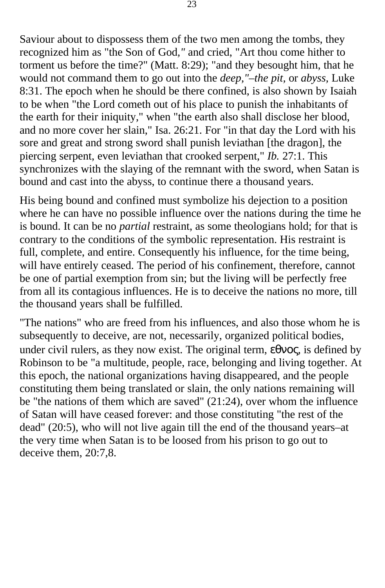Saviour about to dispossess them of the two men among the tombs, they recognized him as "the Son of God*,"* and cried, "Art thou come hither to torment us before the time?" (Matt. 8:29); "and they besought him, that he would not command them to go out into the *deep,"–the pit,* or *abyss,* Luke 8:31. The epoch when he should be there confined, is also shown by Isaiah to be when "the Lord cometh out of his place to punish the inhabitants of the earth for their iniquity," when "the earth also shall disclose her blood, and no more cover her slain," Isa. 26:21. For "in that day the Lord with his sore and great and strong sword shall punish leviathan [the dragon], the piercing serpent, even leviathan that crooked serpent," *Ib.* 27:1. This synchronizes with the slaying of the remnant with the sword, when Satan is bound and cast into the abyss, to continue there a thousand years.

His being bound and confined must symbolize his dejection to a position where he can have no possible influence over the nations during the time he is bound. It can be no *partial* restraint, as some theologians hold; for that is contrary to the conditions of the symbolic representation. His restraint is full, complete, and entire. Consequently his influence, for the time being, will have entirely ceased. The period of his confinement, therefore, cannot be one of partial exemption from sin; but the living will be perfectly free from all its contagious influences. He is to deceive the nations no more, till the thousand years shall be fulfilled.

"The nations" who are freed from his influences, and also those whom he is subsequently to deceive, are not, necessarily, organized political bodies, under civil rulers, as they now exist. The original term,  $\epsilon \theta \nu o \varsigma$ , is defined by Robinson to be "a multitude, people, race, belonging and living together. At this epoch, the national organizations having disappeared, and the people constituting them being translated or slain, the only nations remaining will be "the nations of them which are saved" (21:24), over whom the influence of Satan will have ceased forever: and those constituting "the rest of the dead" (20:5), who will not live again till the end of the thousand years–at the very time when Satan is to be loosed from his prison to go out to deceive them, 20:7,8.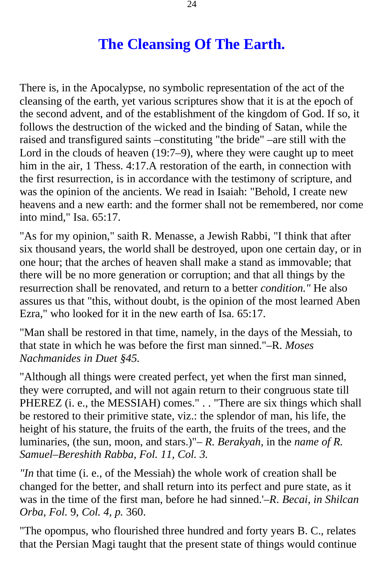# **The Cleansing Of The Earth.**

<span id="page-23-0"></span>There is, in the Apocalypse, no symbolic representation of the act of the cleansing of the earth, yet various scriptures show that it is at the epoch of the second advent, and of the establishment of the kingdom of God. If so, it follows the destruction of the wicked and the binding of Satan, while the raised and transfigured saints –constituting "the bride" –are still with the Lord in the clouds of heaven (19:7–9), where they were caught up to meet him in the air, 1 Thess. 4:17.A restoration of the earth, in connection with the first resurrection, is in accordance with the testimony of scripture, and was the opinion of the ancients. We read in Isaiah: "Behold, I create new heavens and a new earth: and the former shall not be remembered, nor come into mind," Isa. 65:17.

"As for my opinion," saith R. Menasse, a Jewish Rabbi, "I think that after six thousand years, the world shall be destroyed, upon one certain day, or in one hour; that the arches of heaven shall make a stand as immovable; that there will be no more generation or corruption; and that all things by the resurrection shall be renovated, and return to a better *condition."* He also assures us that "this, without doubt, is the opinion of the most learned Aben Ezra," who looked for it in the new earth of Isa. 65:17.

"Man shall be restored in that time, namely, in the days of the Messiah, to that state in which he was before the first man sinned."–R. *Moses Nachmanides in Duet §45.* 

"Although all things were created perfect, yet when the first man sinned, they were corrupted, and will not again return to their congruous state till PHEREZ (i. e., the MESSIAH) comes." . . "There are six things which shall be restored to their primitive state, viz.: the splendor of man, his life, the height of his stature, the fruits of the earth, the fruits of the trees, and the luminaries, (the sun, moon, and stars.)"– *R. Berakyah,* in the *name of R. Samuel–Bereshith Rabba, Fol. 11, Col. 3.* 

*"In* that time (i. e., of the Messiah) the whole work of creation shall be changed for the better, and shall return into its perfect and pure state, as it was in the time of the first man, before he had sinned.'–*R*. *Becai, in Shilcan Orba, Fol.* 9, *Col. 4, p.* 360.

"The opompus, who flourished three hundred and forty years B. C., relates that the Persian Magi taught that the present state of things would continue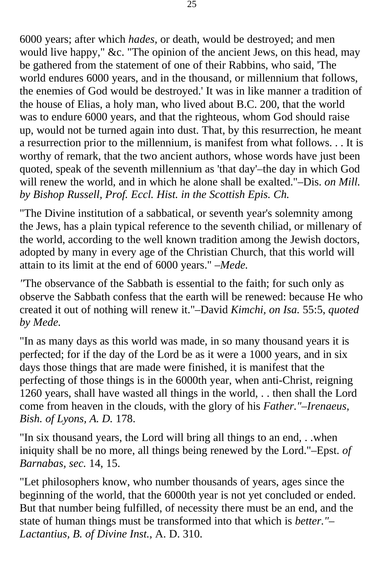6000 years; after which *hades,* or death, would be destroyed; and men would live happy," &c. "The opinion of the ancient Jews, on this head, may be gathered from the statement of one of their Rabbins, who said, 'The world endures 6000 years, and in the thousand, or millennium that follows, the enemies of God would be destroyed.' It was in like manner a tradition of the house of Elias, a holy man, who lived about B.C. 200, that the world was to endure 6000 years, and that the righteous, whom God should raise up, would not be turned again into dust. That, by this resurrection, he meant a resurrection prior to the millennium, is manifest from what follows. . . It is worthy of remark, that the two ancient authors, whose words have just been quoted, speak of the seventh millennium as 'that day'–the day in which God will renew the world, and in which he alone shall be exalted."–Dis. *on Mill. by Bishop Russell, Prof. Eccl. Hist. in the Scottish Epis. Ch.* 

"The Divine institution of a sabbatical, or seventh year's solemnity among the Jews, has a plain typical reference to the seventh chiliad, or millenary of the world, according to the well known tradition among the Jewish doctors, adopted by many in every age of the Christian Church, that this world will attain to its limit at the end of 6000 years." *–Mede.* 

*"*The observance of the Sabbath is essential to the faith; for such only as observe the Sabbath confess that the earth will be renewed: because He who created it out of nothing will renew it."–David *Kimchi, on Isa.* 55:5, *quoted by Mede.* 

"In as many days as this world was made, in so many thousand years it is perfected; for if the day of the Lord be as it were a 1000 years, and in six days those things that are made were finished, it is manifest that the perfecting of those things is in the 6000th year, when anti-Christ, reigning 1260 years, shall have wasted all things in the world, . . then shall the Lord come from heaven in the clouds, with the glory of his *Father."–Irenaeus, Bish. of Lyons, A. D.* 178.

"In six thousand years, the Lord will bring all things to an end, . .when iniquity shall be no more, all things being renewed by the Lord."–Epst. *of Barnabas, sec.* 14, 15.

"Let philosophers know, who number thousands of years, ages since the beginning of the world, that the 6000th year is not yet concluded or ended. But that number being fulfilled, of necessity there must be an end, and the state of human things must be transformed into that which is *better."– Lactantius, B. of Divine Inst.,* A. D. 310.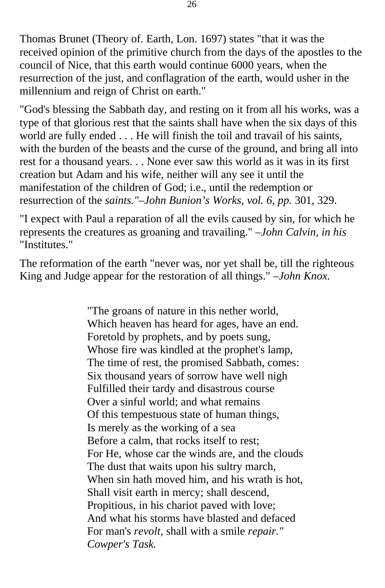Thomas Brunet (Theory of. Earth, Lon. 1697) states "that it was the received opinion of the primitive church from the days of the apostles to the council of Nice, that this earth would continue 6000 years, when the resurrection of the just, and conflagration of the earth, would usher in the millennium and reign of Christ on earth."

"God's blessing the Sabbath day*,* and resting on it from all his works, was a type of that glorious rest that the saints shall have when the six days of this world are fully ended . . . He will finish the toil and travail of his saints, with the burden of the beasts and the curse of the ground, and bring all into rest for a thousand years. . . None ever saw this world as it was in its first creation but Adam and his wife, neither will any see it until the manifestation of the children of God; i.e., until the redemption or resurrection of the *saints."–John Bunion's Works, vol. 6, pp.* 301, 329.

"I expect with Paul a reparation of all the evils caused by sin, for which he represents the creatures as groaning and travailing." *–John Calvin, in his*  "Institutes."

The reformation of the earth "never was, nor yet shall be, till the righteous King and Judge appear for the restoration of all things." *–John Knox.* 

> "The groans of nature in this nether world, Which heaven has heard for ages, have an end. Foretold by prophets, and by poets sung, Whose fire was kindled at the prophet's lamp, The time of rest, the promised Sabbath, comes: Six thousand years of sorrow have well nigh Fulfilled their tardy and disastrous course Over a sinful world; and what remains Of this tempestuous state of human things, Is merely as the working of a sea Before a calm, that rocks itself to rest; For He, whose car the winds are, and the clouds The dust that waits upon his sultry march, When sin hath moved him, and his wrath is hot, Shall visit earth in mercy; shall descend, Propitious, in his chariot paved with love; And what his storms have blasted and defaced For man's *revolt,* shall with a smile *repair." Cowper's Task.*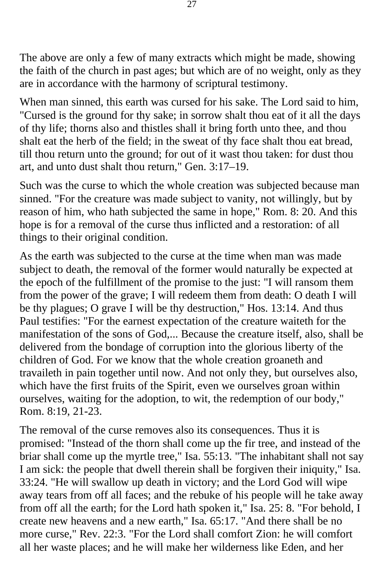The above are only a few of many extracts which might be made, showing the faith of the church in past ages; but which are of no weight, only as they are in accordance with the harmony of scriptural testimony.

When man sinned, this earth was cursed for his sake. The Lord said to him, "Cursed is the ground for thy sake; in sorrow shalt thou eat of it all the days of thy life; thorns also and thistles shall it bring forth unto thee, and thou shalt eat the herb of the field; in the sweat of thy face shalt thou eat bread, till thou return unto the ground; for out of it wast thou taken: for dust thou art, and unto dust shalt thou return," Gen. 3:17–19.

Such was the curse to which the whole creation was subjected because man sinned. "For the creature was made subject to vanity, not willingly, but by reason of him, who hath subjected the same in hope," Rom. 8: 20. And this hope is for a removal of the curse thus inflicted and a restoration: of all things to their original condition.

As the earth was subjected to the curse at the time when man was made subject to death, the removal of the former would naturally be expected at the epoch of the fulfillment of the promise to the just: "I will ransom them from the power of the grave; I will redeem them from death: O death I will be thy plagues; O grave I will be thy destruction," Hos. 13:14. And thus Paul testifies: "For the earnest expectation of the creature waiteth for the manifestation of the sons of God,... Because the creature itself, also, shall be delivered from the bondage of corruption into the glorious liberty of the children of God. For we know that the whole creation groaneth and travaileth in pain together until now. And not only they, but ourselves also, which have the first fruits of the Spirit, even we ourselves groan within ourselves, waiting for the adoption, to wit, the redemption of our body," Rom. 8:19, 21-23.

The removal of the curse removes also its consequences. Thus it is promised: "Instead of the thorn shall come up the fir tree, and instead of the briar shall come up the myrtle tree," Isa. 55:13. "The inhabitant shall not say I am sick: the people that dwell therein shall be forgiven their iniquity," Isa. 33:24. "He will swallow up death in victory; and the Lord God will wipe away tears from off all faces; and the rebuke of his people will he take away from off all the earth; for the Lord hath spoken it," Isa. 25: 8. "For behold, I create new heavens and a new earth," Isa. 65:17. "And there shall be no more curse," Rev. 22:3. "For the Lord shall comfort Zion: he will comfort all her waste places; and he will make her wilderness like Eden, and her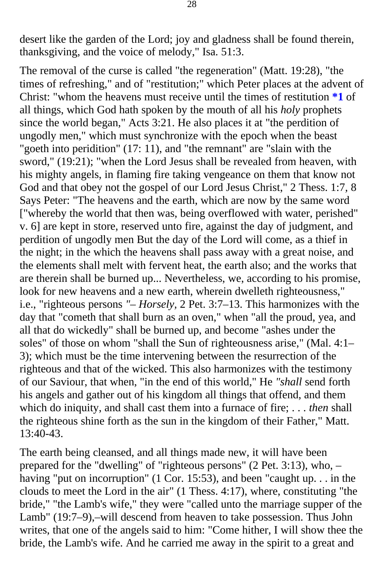desert like the garden of the Lord; joy and gladness shall be found therein, thanksgiving, and the voice of melody," Isa. 51:3.

The removal of the curse is called "the regeneration" (Matt. 19:28), "the times of refreshing," and of "restitution;" which Peter places at the advent of Christ: "whom the heavens must receive until the times of restitution **[\\*1](#page-54-0)** of all things, which God hath spoken by the mouth of all his *holy* prophets since the world began," Acts 3:21. He also places it at "the perdition of ungodly men," which must synchronize with the epoch when the beast "goeth into peridition" (17: 11), and "the remnant" are "slain with the sword," (19:21); "when the Lord Jesus shall be revealed from heaven, with his mighty angels, in flaming fire taking vengeance on them that know not God and that obey not the gospel of our Lord Jesus Christ," 2 Thess. 1:7*,* 8 Says Peter: "The heavens and the earth, which are now by the same word ["whereby the world that then was, being overflowed with water, perished" v. 6] are kept in store, reserved unto fire, against the day of judgment, and perdition of ungodly men But the day of the Lord will come, as a thief in the night; in the which the heavens shall pass away with a great noise, and the elements shall melt with fervent heat, the earth also; and the works that are therein shall be burned up... Nevertheless, we, according to his promise, look for new heavens and a new earth, wherein dwelleth righteousness," i.e., "righteous persons *"– Horsely,* 2 Pet. 3:7–13. This harmonizes with the day that "cometh that shall burn as an oven," when "all the proud, yea, and all that do wickedly" shall be burned up, and become "ashes under the soles" of those on whom "shall the Sun of righteousness arise," (Mal. 4:1– 3); which must be the time intervening between the resurrection of the righteous and that of the wicked. This also harmonizes with the testimony of our Saviour, that when, "in the end of this world," He *"shall* send forth his angels and gather out of his kingdom all things that offend, and them which do iniquity, and shall cast them into a furnace of fire; . . . *then* shall the righteous shine forth as the sun in the kingdom of their Father," Matt. 13:40-43.

The earth being cleansed, and all things made new, it will have been prepared for the "dwelling" of "righteous persons" (2 Pet. 3:13), who, – having "put on incorruption" (1 Cor. 15:53), and been "caught up. . . in the clouds to meet the Lord in the air" (1 Thess. 4:17), where, constituting "the bride," "the Lamb's wife," they were "called unto the marriage supper of the Lamb" (19:7–9),–will descend from heaven to take possession. Thus John writes, that one of the angels said to him: "Come hither, I will show thee the bride, the Lamb's wife. And he carried me away in the spirit to a great and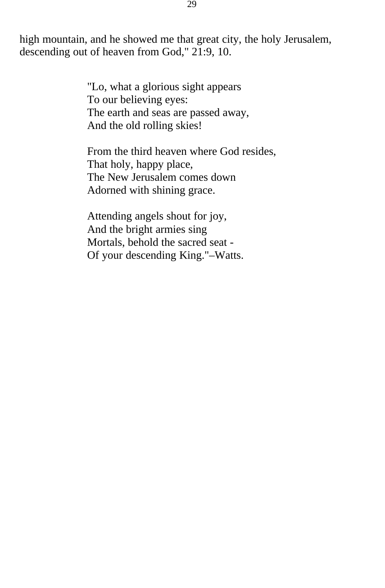high mountain, and he showed me that great city, the holy Jerusalem, descending out of heaven from God," 21:9, 10.

> "Lo, what a glorious sight appears To our believing eyes: The earth and seas are passed away, And the old rolling skies!

From the third heaven where God resides, That holy, happy place, The New Jerusalem comes down Adorned with shining grace.

Attending angels shout for joy, And the bright armies sing Mortals, behold the sacred seat - Of your descending King."–Watts.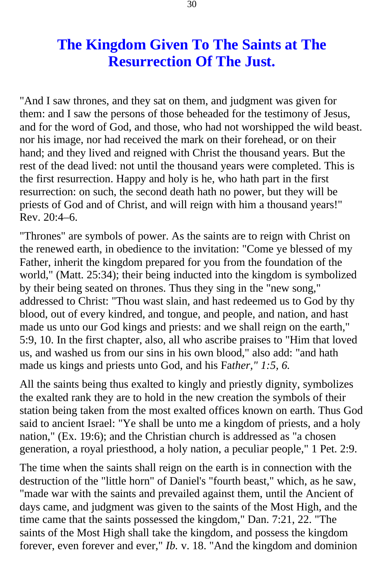# **The Kingdom Given To The Saints at The Resurrection Of The Just.**

<span id="page-29-0"></span>"And I saw thrones, and they sat on them, and judgment was given for them: and I saw the persons of those beheaded for the testimony of Jesus, and for the word of God, and those, who had not worshipped the wild beast. nor his image, nor had received the mark on their forehead, or on their hand; and they lived and reigned with Christ the thousand years. But the rest of the dead lived: not until the thousand years were completed. This is the first resurrection. Happy and holy is he, who hath part in the first resurrection: on such, the second death hath no power, but they will be priests of God and of Christ, and will reign with him a thousand years!" Rev. 20:4–6.

"Thrones" are symbols of power. As the saints are to reign with Christ on the renewed earth, in obedience to the invitation: "Come ye blessed of my Father, inherit the kingdom prepared for you from the foundation of the world," (Matt. 25:34); their being inducted into the kingdom is symbolized by their being seated on thrones. Thus they sing in the "new song," addressed to Christ: "Thou wast slain, and hast redeemed us to God by thy blood, out of every kindred, and tongue, and people, and nation, and hast made us unto our God kings and priests: and we shall reign on the earth," 5:9, 10. In the first chapter, also, all who ascribe praises to "Him that loved us, and washed us from our sins in his own blood," also add: "and hath made us kings and priests unto God, and his Fa*ther," 1:5, 6.* 

All the saints being thus exalted to kingly and priestly dignity, symbolizes the exalted rank they are to hold in the new creation the symbols of their station being taken from the most exalted offices known on earth. Thus God said to ancient Israel: "Ye shall be unto me a kingdom of priests, and a holy nation," (Ex. 19:6); and the Christian church is addressed as "a chosen generation, a royal priesthood, a holy nation, a peculiar people," 1 Pet. 2:9.

The time when the saints shall reign on the earth is in connection with the destruction of the "little horn" of Daniel's "fourth beast," which, as he saw, "made war with the saints and prevailed against them, until the Ancient of days came, and judgment was given to the saints of the Most High, and the time came that the saints possessed the kingdom," Dan. 7:21, 22. "The saints of the Most High shall take the kingdom, and possess the kingdom forever, even forever and ever," *Ib.* v. 18. "And the kingdom and dominion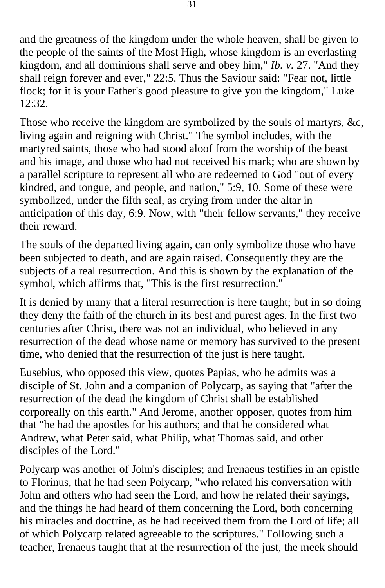and the greatness of the kingdom under the whole heaven, shall be given to the people of the saints of the Most High, whose kingdom is an everlasting kingdom, and all dominions shall serve and obey him," *Ib. v.* 27. "And they shall reign forever and ever," 22:5. Thus the Saviour said: "Fear not, little flock; for it is your Father's good pleasure to give you the kingdom," Luke  $12:32.$ 

Those who receive the kingdom are symbolized by the souls of martyrs, &c, living again and reigning with Christ." The symbol includes, with the martyred saints, those who had stood aloof from the worship of the beast and his image, and those who had not received his mark; who are shown by a parallel scripture to represent all who are redeemed to God "out of every kindred, and tongue, and people, and nation," 5:9, 10. Some of these were symbolized, under the fifth seal, as crying from under the altar in anticipation of this day, 6:9. Now, with "their fellow servants," they receive their reward.

The souls of the departed living again, can only symbolize those who have been subjected to death, and are again raised. Consequently they are the subjects of a real resurrection. And this is shown by the explanation of the symbol, which affirms that, "This is the first resurrection."

It is denied by many that a literal resurrection is here taught; but in so doing they deny the faith of the church in its best and purest ages. In the first two centuries after Christ, there was not an individual, who believed in any resurrection of the dead whose name or memory has survived to the present time, who denied that the resurrection of the just is here taught.

Eusebius, who opposed this view, quotes Papias, who he admits was a disciple of St. John and a companion of Polycarp, as saying that "after the resurrection of the dead the kingdom of Christ shall be established corporeally on this earth." And Jerome, another opposer, quotes from him that "he had the apostles for his authors; and that he considered what Andrew, what Peter said, what Philip, what Thomas said, and other disciples of the Lord."

Polycarp was another of John's disciples; and Irenaeus testifies in an epistle to Florinus, that he had seen Polycarp, "who related his conversation with John and others who had seen the Lord, and how he related their sayings, and the things he had heard of them concerning the Lord, both concerning his miracles and doctrine, as he had received them from the Lord of life; all of which Polycarp related agreeable to the scriptures." Following such a teacher, Irenaeus taught that at the resurrection of the just, the meek should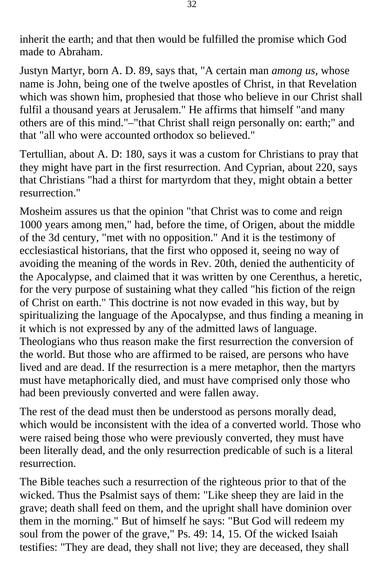inherit the earth; and that then would be fulfilled the promise which God made to Abraham.

Justyn Martyr, born A. D. 89, says that, "A certain man *among us,* whose name is John, being one of the twelve apostles of Christ, in that Revelation which was shown him, prophesied that those who believe in our Christ shall fulfil a thousand years at Jerusalem." He affirms that himself "and many others are of this mind."–"that Christ shall reign personally on: earth;" and that "all who were accounted orthodox so believed."

Tertullian, about A. D: 180, says it was a custom for Christians to pray that they might have part in the first resurrection. And Cyprian, about 220, says that Christians "had a thirst for martyrdom that they, might obtain a better resurrection."

Mosheim assures us that the opinion "that Christ was to come and reign 1000 years among men," had, before the time, of Origen, about the middle of the 3d century, "met with no opposition." And it is the testimony of ecclesiastical historians, that the first who opposed it, seeing no way of avoiding the meaning of the words in Rev. 20th, denied the authenticity of the Apocalypse, and claimed that it was written by one Cerenthus, a heretic, for the very purpose of sustaining what they called "his fiction of the reign of Christ on earth." This doctrine is not now evaded in this way, but by spiritualizing the language of the Apocalypse, and thus finding a meaning in it which is not expressed by any of the admitted laws of language. Theologians who thus reason make the first resurrection the conversion of the world. But those who are affirmed to be raised, are persons who have lived and are dead. If the resurrection is a mere metaphor, then the martyrs must have metaphorically died, and must have comprised only those who had been previously converted and were fallen away.

The rest of the dead must then be understood as persons morally dead, which would be inconsistent with the idea of a converted world. Those who were raised being those who were previously converted, they must have been literally dead, and the only resurrection predicable of such is a literal resurrection.

The Bible teaches such a resurrection of the righteous prior to that of the wicked. Thus the Psalmist says of them: "Like sheep they are laid in the grave; death shall feed on them, and the upright shall have dominion over them in the morning." But of himself he says: "But God will redeem my soul from the power of the grave," Ps. 49: 14, 15. Of the wicked Isaiah testifies: "They are dead, they shall not live; they are deceased, they shall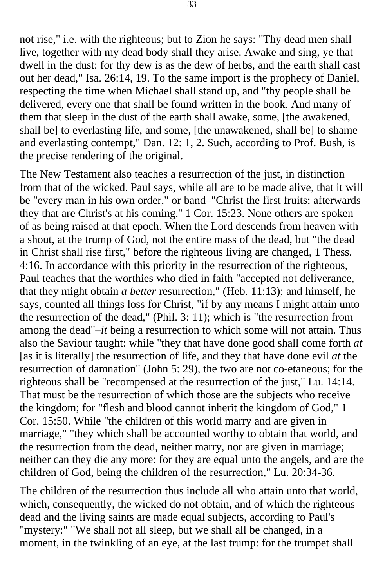not rise," i.e. with the righteous; but to Zion he says: "Thy dead men shall live, together with my dead body shall they arise. Awake and sing, ye that dwell in the dust: for thy dew is as the dew of herbs, and the earth shall cast out her dead," Isa. 26:14, 19. To the same import is the prophecy of Daniel, respecting the time when Michael shall stand up, and "thy people shall be delivered, every one that shall be found written in the book. And many of them that sleep in the dust of the earth shall awake, some, [the awakened, shall be] to everlasting life, and some, [the unawakened, shall be] to shame and everlasting contempt," Dan. 12: 1, 2. Such, according to Prof. Bush, is the precise rendering of the original.

The New Testament also teaches a resurrection of the just, in distinction from that of the wicked. Paul says, while all are to be made alive, that it will be "every man in his own order," or band–"Christ the first fruits; afterwards they that are Christ's at his coming,'' 1 Cor. 15:23. None others are spoken of as being raised at that epoch. When the Lord descends from heaven with a shout, at the trump of God, not the entire mass of the dead, but "the dead in Christ shall rise first," before the righteous living are changed, 1 Thess. 4:16. In accordance with this priority in the resurrection of the righteous, Paul teaches that the worthies who died in faith "accepted not deliverance, that they might obtain *a better* resurrection," (Heb. 11:13); and himself, he says, counted all things loss for Christ, "if by any means I might attain unto the resurrection of the dead," (Phil. 3: 11); which is "the resurrection from among the dead"–*it* being a resurrection to which some will not attain. Thus also the Saviour taught: while "they that have done good shall come forth *at*  [as it is literally] the resurrection of life, and they that have done evil *at* the resurrection of damnation" (John 5: 29), the two are not co-etaneous; for the righteous shall be "recompensed at the resurrection of the just," Lu. 14:14. That must be the resurrection of which those are the subjects who receive the kingdom; for "flesh and blood cannot inherit the kingdom of God," 1 Cor. 15:50. While "the children of this world marry and are given in marriage," "they which shall be accounted worthy to obtain that world, and the resurrection from the dead, neither marry, nor are given in marriage; neither can they die any more: for they are equal unto the angels, and are the children of God, being the children of the resurrection," Lu. 20:34-36.

The children of the resurrection thus include all who attain unto that world, which, consequently, the wicked do not obtain, and of which the righteous dead and the living saints are made equal subjects, according to Paul's "mystery:" "We shall not all sleep, but we shall all be changed, in a moment, in the twinkling of an eye, at the last trump: for the trumpet shall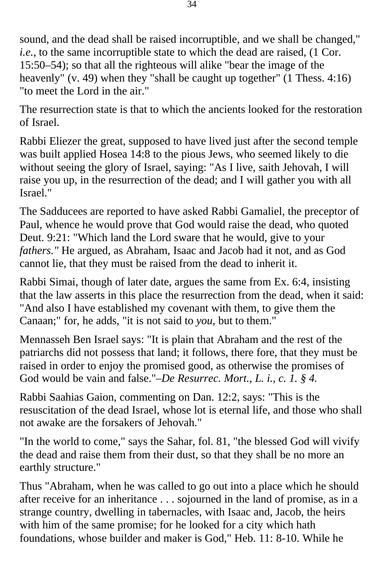sound, and the dead shall be raised incorruptible, and we shall be changed," *i.e.*, to the same incorruptible state to which the dead are raised, (1 Cor. 15:50–54); so that all the righteous will alike "bear the image of the heavenly" (v. 49) when they "shall be caught up together" (1 Thess. 4:16) "to meet the Lord in the air."

The resurrection state is that to which the ancients looked for the restoration of Israel.

Rabbi Eliezer the great, supposed to have lived just after the second temple was built applied Hosea 14:8 to the pious Jews, who seemed likely to die without seeing the glory of Israel, saying: "As I live, saith Jehovah, I will raise you up, in the resurrection of the dead; and I will gather you with all Israel."

The Sadducees are reported to have asked Rabbi Gamaliel, the preceptor of Paul, whence he would prove that God would raise the dead, who quoted Deut. 9:21: "Which land the Lord sware that he would, give to your *fathers."* He argued, as Abraham, Isaac and Jacob had it not, and as God cannot lie, that they must be raised from the dead to inherit it.

Rabbi Simai, though of later date, argues the same from Ex. 6:4, insisting that the law asserts in this place the resurrection from the dead, when it said: "And also I have established my covenant with them, to give them the Canaan;" for, he adds, "it is not said to *you,* but to them."

Mennasseh Ben Israel says: "It is plain that Abraham and the rest of the patriarchs did not possess that land; it follows, there fore, that they must be raised in order to enjoy the promised good, as otherwise the promises of God would be vain and false."–*De Resurrec. Mort., L. i., c. 1. § 4.* 

Rabbi Saahias Gaion, commenting on Dan. 12:2, says: "This is the resuscitation of the dead Israel, whose lot is eternal life, and those who shall not awake are the forsakers of Jehovah."

"In the world to come," says the Sahar, fol. 81, "the blessed God will vivify the dead and raise them from their dust, so that they shall be no more an earthly structure."

Thus "Abraham, when he was called to go out into a place which he should after receive for an inheritance . . . sojourned in the land of promise, as in a strange country, dwelling in tabernacles, with Isaac and, Jacob, the heirs with him of the same promise; for he looked for a city which hath foundations, whose builder and maker is God," Heb. 11: 8-10. While he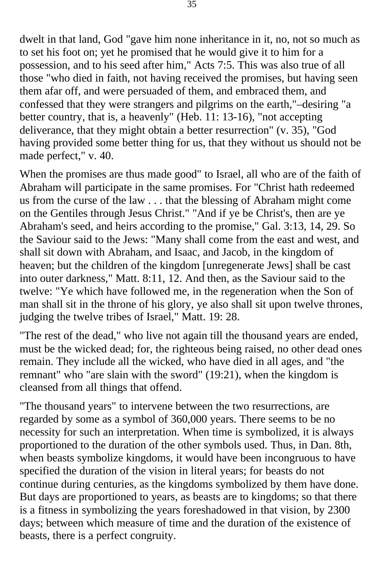dwelt in that land, God "gave him none inheritance in it, no, not so much as to set his foot on; yet he promised that he would give it to him for a possession, and to his seed after him," Acts 7:5. This was also true of all those "who died in faith, not having received the promises, but having seen them afar off, and were persuaded of them, and embraced them, and confessed that they were strangers and pilgrims on the earth,"–desiring "a better country, that is, a heavenly" (Heb. 11: 13-16), "not accepting deliverance, that they might obtain a better resurrection" (v. 35), "God having provided some better thing for us, that they without us should not be made perfect," v. 40.

When the promises are thus made good" to Israel, all who are of the faith of Abraham will participate in the same promises. For "Christ hath redeemed us from the curse of the law . . . that the blessing of Abraham might come on the Gentiles through Jesus Christ." "And if ye be Christ's, then are ye Abraham's seed, and heirs according to the promise," Gal. 3:13, 14, 29. So the Saviour said to the Jews: "Many shall come from the east and west, and shall sit down with Abraham, and Isaac, and Jacob, in the kingdom of heaven; but the children of the kingdom [unregenerate Jews] shall be cast into outer darkness," Matt. 8:11, 12. And then, as the Saviour said to the twelve: "Ye which have followed me, in the regeneration when the Son of man shall sit in the throne of his glory, ye also shall sit upon twelve thrones, judging the twelve tribes of Israel," Matt. 19: 28.

"The rest of the dead," who live not again till the thousand years are ended, must be the wicked dead; for, the righteous being raised, no other dead ones remain. They include all the wicked, who have died in all ages, and "the remnant" who "are slain with the sword" (19:21), when the kingdom is cleansed from all things that offend.

"The thousand years" to intervene between the two resurrections, are regarded by some as a symbol of 360,000 years. There seems to be no necessity for such an interpretation. When time is symbolized, it is always proportioned to the duration of the other symbols used. Thus, in Dan. 8th, when beasts symbolize kingdoms, it would have been incongruous to have specified the duration of the vision in literal years; for beasts do not continue during centuries, as the kingdoms symbolized by them have done. But days are proportioned to years, as beasts are to kingdoms; so that there is a fitness in symbolizing the years foreshadowed in that vision, by 2300 days; between which measure of time and the duration of the existence of beasts, there is a perfect congruity.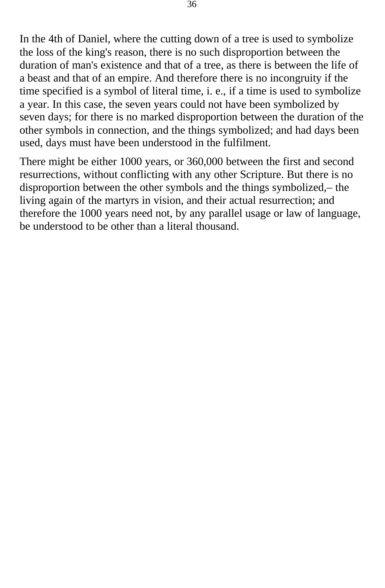In the 4th of Daniel, where the cutting down of a tree is used to symbolize the loss of the king's reason, there is no such disproportion between the duration of man's existence and that of a tree, as there is between the life of a beast and that of an empire. And therefore there is no incongruity if the time specified is a symbol of literal time, i. e., if a time is used to symbolize a year. In this case, the seven years could not have been symbolized by seven days; for there is no marked disproportion between the duration of the other symbols in connection, and the things symbolized; and had days been used, days must have been understood in the fulfilment.

There might be either 1000 years, or 360,000 between the first and second resurrections, without conflicting with any other Scripture. But there is no disproportion between the other symbols and the things symbolized,– the living again of the martyrs in vision, and their actual resurrection; and therefore the 1000 years need not, by any parallel usage or law of language, be understood to be other than a literal thousand.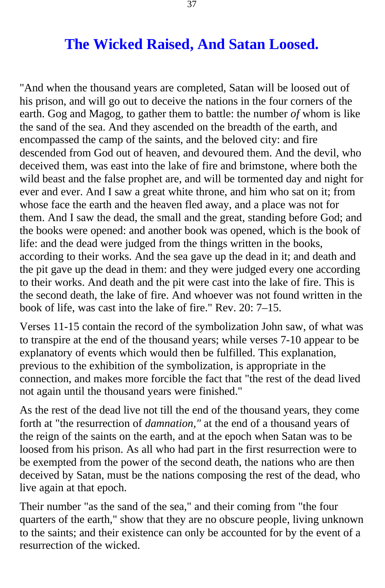## **The Wicked Raised, And Satan Loosed.**

<span id="page-36-0"></span>"And when the thousand years are completed, Satan will be loosed out of his prison, and will go out to deceive the nations in the four corners of the earth. Gog and Magog, to gather them to battle: the number *of* whom is like the sand of the sea. And they ascended on the breadth of the earth, and encompassed the camp of the saints, and the beloved city: and fire descended from God out of heaven, and devoured them. And the devil, who deceived them, was east into the lake of fire and brimstone, where both the wild beast and the false prophet are, and will be tormented day and night for ever and ever. And I saw a great white throne, and him who sat on it; from whose face the earth and the heaven fled away, and a place was not for them. And I saw the dead, the small and the great, standing before God; and the books were opened: and another book was opened, which is the book of life: and the dead were judged from the things written in the books, according to their works. And the sea gave up the dead in it; and death and the pit gave up the dead in them: and they were judged every one according to their works. And death and the pit were cast into the lake of fire. This is the second death, the lake of fire. And whoever was not found written in the book of life, was cast into the lake of fire." Rev. 20: 7–15.

Verses 11-15 contain the record of the symbolization John saw, of what was to transpire at the end of the thousand years; while verses 7-10 appear to be explanatory of events which would then be fulfilled. This explanation, previous to the exhibition of the symbolization, is appropriate in the connection, and makes more forcible the fact that "the rest of the dead lived not again until the thousand years were finished."

As the rest of the dead live not till the end of the thousand years, they come forth at "the resurrection of *damnation,"* at the end of a thousand years of the reign of the saints on the earth, and at the epoch when Satan was to be loosed from his prison. As all who had part in the first resurrection were to be exempted from the power of the second death, the nations who are then deceived by Satan, must be the nations composing the rest of the dead, who live again at that epoch.

Their number "as the sand of the sea," and their coming from "the four quarters of the earth," show that they are no obscure people, living unknown to the saints; and their existence can only be accounted for by the event of a resurrection of the wicked.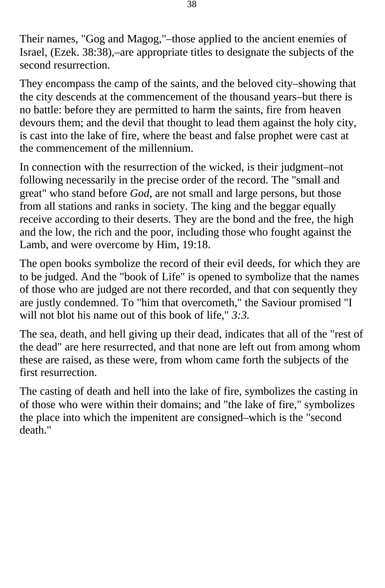Their names, "Gog and Magog,"–those applied to the ancient enemies of Israel, (Ezek. 38:38),–are appropriate titles to designate the subjects of the second resurrection.

They encompass the camp of the saints, and the beloved city–showing that the city descends at the commencement of the thousand years–but there is no battle: before they are permitted to harm the saints, fire from heaven devours them; and the devil that thought to lead them against the holy city, is cast into the lake of fire, where the beast and false prophet were cast at the commencement of the millennium.

In connection with the resurrection of the wicked, is their judgment–not following necessarily in the precise order of the record. The "small and great" who stand before *God,* are not small and large persons, but those from all stations and ranks in society. The king and the beggar equally receive according to their deserts. They are the bond and the free, the high and the low, the rich and the poor, including those who fought against the Lamb, and were overcome by Him, 19:18.

The open books symbolize the record of their evil deeds, for which they are to be judged. And the "book of Life" is opened to symbolize that the names of those who are judged are not there recorded, and that con sequently they are justly condemned. To "him that overcometh," the Saviour promised "I will not blot his name out of this book of life," *3:3.* 

The sea, death, and hell giving up their dead, indicates that all of the "rest of the dead" are here resurrected, and that none are left out from among whom these are raised, as these were, from whom came forth the subjects of the first resurrection.

The casting of death and hell into the lake of fire, symbolizes the casting in of those who were within their domains; and "the lake of fire," symbolizes the place into which the impenitent are consigned–which is the "second death."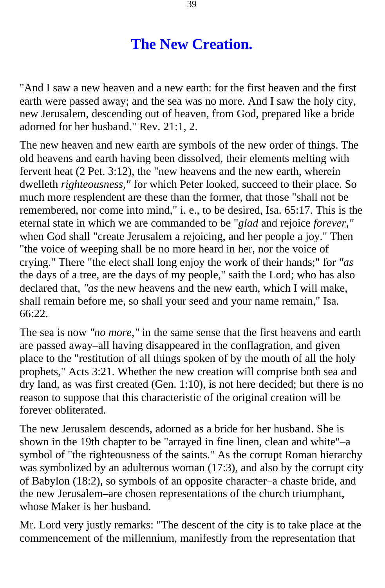# **The New Creation.**

<span id="page-38-0"></span>"And I saw a new heaven and a new earth: for the first heaven and the first earth were passed away; and the sea was no more. And I saw the holy city, new Jerusalem, descending out of heaven, from God, prepared like a bride adorned for her husband." Rev. 21:1, 2.

The new heaven and new earth are symbols of the new order of things. The old heavens and earth having been dissolved, their elements melting with fervent heat (2 Pet. 3:12), the "new heavens and the new earth, wherein dwelleth *righteousness,"* for which Peter looked, succeed to their place. So much more resplendent are these than the former, that those "shall not be remembered, nor come into mind," i. e., to be desired, Isa. 65:17. This is the eternal state in which we are commanded to be "*glad* and rejoice *forever,"*  when God shall "create Jerusalem a rejoicing, and her people a joy." Then "the voice of weeping shall be no more heard in her, nor the voice of crying." There "the elect shall long enjoy the work of their hands;" for *"as*  the days of a tree, are the days of my people," saith the Lord; who has also declared that, *"as* the new heavens and the new earth, which I will make, shall remain before me, so shall your seed and your name remain," Isa. 66:22.

The sea is now *"no more,"* in the same sense that the first heavens and earth are passed away–all having disappeared in the conflagration, and given place to the "restitution of all things spoken of by the mouth of all the holy prophets," Acts 3:21. Whether the new creation will comprise both sea and dry land, as was first created (Gen. 1:10), is not here decided; but there is no reason to suppose that this characteristic of the original creation will be forever obliterated.

The new Jerusalem descends, adorned as a bride for her husband. She is shown in the 19th chapter to be "arrayed in fine linen, clean and white"–a symbol of "the righteousness of the saints." As the corrupt Roman hierarchy was symbolized by an adulterous woman (17:3), and also by the corrupt city of Babylon (18:2), so symbols of an opposite character–a chaste bride, and the new Jerusalem–are chosen representations of the church triumphant, whose Maker is her husband.

Mr. Lord very justly remarks: "The descent of the city is to take place at the commencement of the millennium, manifestly from the representation that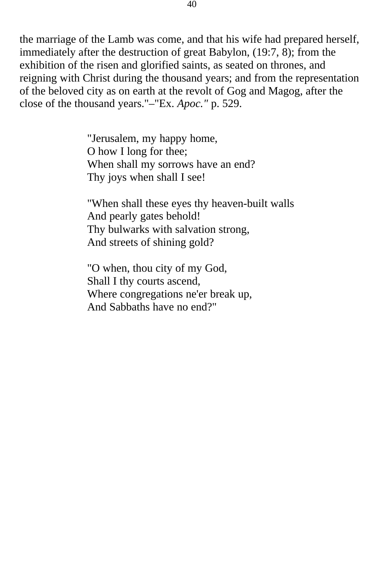the marriage of the Lamb was come, and that his wife had prepared herself, immediately after the destruction of great Babylon, (19:7, 8); from the exhibition of the risen and glorified saints, as seated on thrones, and reigning with Christ during the thousand years; and from the representation of the beloved city as on earth at the revolt of Gog and Magog, after the close of the thousand years."–"Ex. *Apoc."* p. 529.

> "Jerusalem, my happy home, O how I long for thee; When shall my sorrows have an end? Thy joys when shall I see!

"When shall these eyes thy heaven-built walls And pearly gates behold! Thy bulwarks with salvation strong, And streets of shining gold?

"O when, thou city of my God, Shall I thy courts ascend, Where congregations ne'er break up, And Sabbaths have no end?"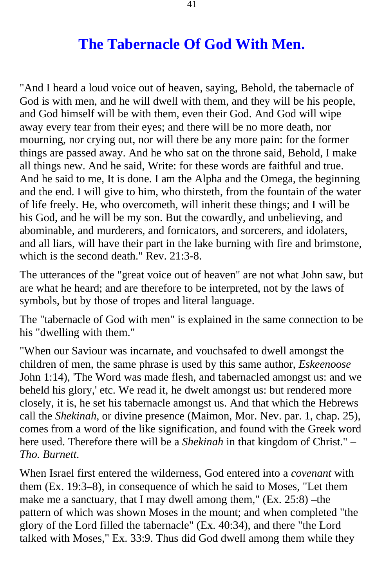## **The Tabernacle Of God With Men.**

<span id="page-40-0"></span>"And I heard a loud voice out of heaven, saying, Behold, the tabernacle of God is with men, and he will dwell with them, and they will be his people, and God himself will be with them, even their God. And God will wipe away every tear from their eyes; and there will be no more death, nor mourning, nor crying out, nor will there be any more pain: for the former things are passed away. And he who sat on the throne said, Behold, I make all things new. And he said, Write: for these words are faithful and true. And he said to me, It is done. I am the Alpha and the Omega, the beginning and the end. I will give to him, who thirsteth, from the fountain of the water of life freely. He, who overcometh, will inherit these things; and I will be his God, and he will be my son. But the cowardly, and unbelieving, and abominable, and murderers, and fornicators, and sorcerers, and idolaters, and all liars, will have their part in the lake burning with fire and brimstone, which is the second death." Rev. 21:3-8.

The utterances of the "great voice out of heaven" are not what John saw, but are what he heard; and are therefore to be interpreted, not by the laws of symbols, but by those of tropes and literal language.

The "tabernacle of God with men" is explained in the same connection to be his "dwelling with them."

"When our Saviour was incarnate, and vouchsafed to dwell amongst the children of men, the same phrase is used by this same author, *Eskeenoose*  John 1:14), 'The Word was made flesh, and tabernacled amongst us: and we beheld his glory,' etc. We read it, he dwelt amongst us: but rendered more closely, it is, he set his tabernacle amongst us. And that which the Hebrews call the *Shekinah,* or divine presence (Maimon, Mor. Nev. par. 1, chap. 25), comes from a word of the like signification, and found with the Greek word here used. Therefore there will be a *Shekinah* in that kingdom of Christ." *– Tho. Burnett.* 

When Israel first entered the wilderness, God entered into a *covenant* with them (Ex. 19:3–8), in consequence of which he said to Moses, "Let them make me a sanctuary, that I may dwell among them," (Ex. 25:8) –the pattern of which was shown Moses in the mount; and when completed "the glory of the Lord filled the tabernacle" (Ex. 40:34), and there "the Lord talked with Moses," Ex. 33:9. Thus did God dwell among them while they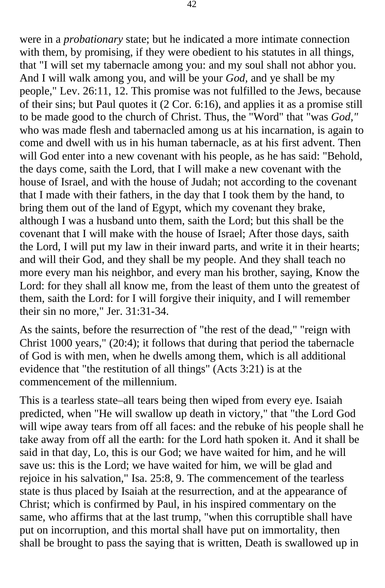were in a *probationary* state; but he indicated a more intimate connection with them, by promising, if they were obedient to his statutes in all things, that "I will set my tabernacle among you: and my soul shall not abhor you. And I will walk among you, and will be your *God,* and ye shall be my people," Lev. 26:11, 12. This promise was not fulfilled to the Jews, because of their sins; but Paul quotes it (2 Cor. 6:16), and applies it as a promise still to be made good to the church of Christ. Thus, the "Word" that "was *God,"*  who was made flesh and tabernacled among us at his incarnation, is again to come and dwell with us in his human tabernacle, as at his first advent. Then will God enter into a new covenant with his people, as he has said: "Behold, the days come, saith the Lord, that I will make a new covenant with the house of Israel, and with the house of Judah; not according to the covenant that I made with their fathers, in the day that I took them by the hand, to bring them out of the land of Egypt, which my covenant they brake, although I was a husband unto them, saith the Lord; but this shall be the covenant that I will make with the house of Israel; After those days, saith the Lord, I will put my law in their inward parts, and write it in their hearts; and will their God, and they shall be my people. And they shall teach no more every man his neighbor, and every man his brother, saying, Know the Lord: for they shall all know me, from the least of them unto the greatest of them, saith the Lord: for I will forgive their iniquity, and I will remember their sin no more," Jer. 31:31-34.

As the saints, before the resurrection of "the rest of the dead," "reign with Christ 1000 years," (20:4); it follows that during that period the tabernacle of God is with men, when he dwells among them, which is all additional evidence that "the restitution of all things" (Acts 3:21) is at the commencement of the millennium.

This is a tearless state–all tears being then wiped from every eye. Isaiah predicted, when "He will swallow up death in victory," that "the Lord God will wipe away tears from off all faces: and the rebuke of his people shall he take away from off all the earth: for the Lord hath spoken it. And it shall be said in that day, Lo, this is our God; we have waited for him, and he will save us: this is the Lord; we have waited for him, we will be glad and rejoice in his salvation," Isa. 25:8, 9. The commencement of the tearless state is thus placed by Isaiah at the resurrection, and at the appearance of Christ; which is confirmed by Paul, in his inspired commentary on the same, who affirms that at the last trump, "when this corruptible shall have put on incorruption, and this mortal shall have put on immortality, then shall be brought to pass the saying that is written, Death is swallowed up in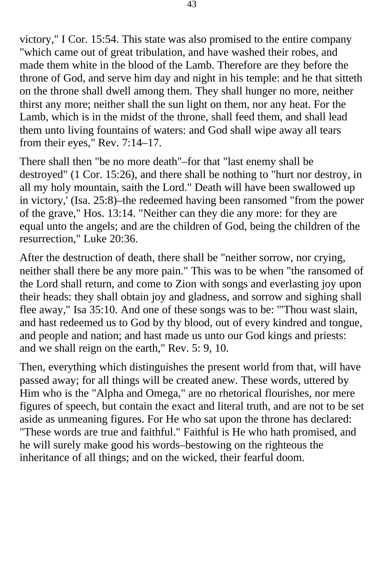victory," I Cor. 15:54. This state was also promised to the entire company "which came out of great tribulation, and have washed their robes, and made them white in the blood of the Lamb. Therefore are they before the throne of God, and serve him day and night in his temple: and he that sitteth on the throne shall dwell among them. They shall hunger no more, neither thirst any more; neither shall the sun light on them, nor any heat. For the Lamb, which is in the midst of the throne, shall feed them, and shall lead them unto living fountains of waters: and God shall wipe away all tears from their eyes," Rev. 7:14–17.

There shall then "be no more death"–for that "last enemy shall be destroyed" (1 Cor. 15:26), and there shall be nothing to "hurt nor destroy, in all my holy mountain, saith the Lord." Death will have been swallowed up in victory,' (Isa. 25:8)–the redeemed having been ransomed "from the power of the grave," Hos. 13:14. "Neither can they die any more: for they are equal unto the angels; and are the children of God, being the children of the resurrection," Luke 20:36.

After the destruction of death, there shall be "neither sorrow, nor crying, neither shall there be any more pain." This was to be when "the ransomed of the Lord shall return, and come to Zion with songs and everlasting joy upon their heads: they shall obtain joy and gladness, and sorrow and sighing shall flee away," Isa 35:10. And one of these songs was to be: '"Thou wast slain, and hast redeemed us to God by thy blood, out of every kindred and tongue, and people and nation; and hast made us unto our God kings and priests: and we shall reign on the earth," Rev. 5: 9, 10.

Then, everything which distinguishes the present world from that, will have passed away; for all things will be created anew. These words, uttered by Him who is the "Alpha and Omega," are no rhetorical flourishes, nor mere figures of speech, but contain the exact and literal truth, and are not to be set aside as unmeaning figures. For He who sat upon the throne has declared: "These words are true and faithful." Faithful is He who hath promised, and he will surely make good his words–bestowing on the righteous the inheritance of all things; and on the wicked, their fearful doom.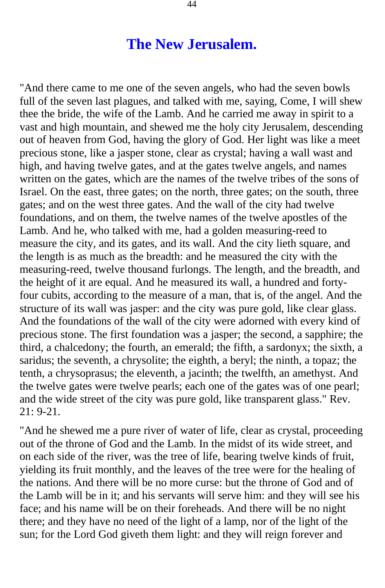#### **The New Jerusalem.**

<span id="page-43-0"></span>"And there came to me one of the seven angels, who had the seven bowls full of the seven last plagues, and talked with me, saying, Come, I will shew thee the bride, the wife of the Lamb. And he carried me away in spirit to a vast and high mountain, and shewed me the holy city Jerusalem, descending out of heaven from God, having the glory of God. Her light was like a meet precious stone, like a jasper stone, clear as crystal; having a wall wast and high, and having twelve gates, and at the gates twelve angels, and names written on the gates, which are the names of the twelve tribes of the sons of Israel. On the east, three gates; on the north, three gates; on the south, three gates; and on the west three gates. And the wall of the city had twelve foundations, and on them, the twelve names of the twelve apostles of the Lamb. And he, who talked with me, had a golden measuring-reed to measure the city, and its gates, and its wall. And the city lieth square, and the length is as much as the breadth: and he measured the city with the measuring-reed, twelve thousand furlongs. The length, and the breadth, and the height of it are equal. And he measured its wall, a hundred and fortyfour cubits, according to the measure of a man, that is, of the angel. And the structure of its wall was jasper: and the city was pure gold, like clear glass. And the foundations of the wall of the city were adorned with every kind of precious stone. The first foundation was a jasper; the second, a sapphire; the third, a chalcedony; the fourth, an emerald; the fifth, a sardonyx; the sixth, a saridus; the seventh, a chrysolite; the eighth, a beryl; the ninth, a topaz; the tenth, a chrysoprasus; the eleventh, a jacinth; the twelfth, an amethyst. And the twelve gates were twelve pearls; each one of the gates was of one pearl; and the wide street of the city was pure gold, like transparent glass." Rev.  $21: 9-21.$ 

"And he shewed me a pure river of water of life, clear as crystal, proceeding out of the throne of God and the Lamb. In the midst of its wide street, and on each side of the river, was the tree of life, bearing twelve kinds of fruit, yielding its fruit monthly, and the leaves of the tree were for the healing of the nations. And there will be no more curse: but the throne of God and of the Lamb will be in it; and his servants will serve him: and they will see his face; and his name will be on their foreheads. And there will be no night there; and they have no need of the light of a lamp, nor of the light of the sun; for the Lord God giveth them light: and they will reign forever and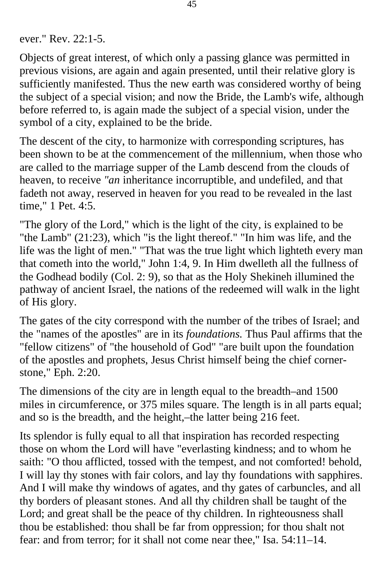ever." Rev. 22:1-5.

Objects of great interest, of which only a passing glance was permitted in previous visions, are again and again presented, until their relative glory is sufficiently manifested. Thus the new earth was considered worthy of being the subject of a special vision; and now the Bride, the Lamb's wife, although before referred to, is again made the subject of a special vision, under the symbol of a city, explained to be the bride.

The descent of the city, to harmonize with corresponding scriptures, has been shown to be at the commencement of the millennium, when those who are called to the marriage supper of the Lamb descend from the clouds of heaven, to receive *"an* inheritance incorruptible, and undefiled, and that fadeth not away, reserved in heaven for you read to be revealed in the last time," 1 Pet. 4:5.

"The glory of the Lord," which is the light of the city, is explained to be "the Lamb" (21:23), which "is the light thereof." "In him was life, and the life was the light of men." "That was the true light which lighteth every man that cometh into the world," John 1:4, 9. In Him dwelleth all the fullness of the Godhead bodily (Col. 2: 9), so that as the Holy Shekineh illumined the pathway of ancient Israel, the nations of the redeemed will walk in the light of His glory.

The gates of the city correspond with the number of the tribes of Israel; and the "names of the apostles" are in its *foundations.* Thus Paul affirms that the "fellow citizens" of "the household of God" "are built upon the foundation of the apostles and prophets, Jesus Christ himself being the chief cornerstone," Eph. 2:20.

The dimensions of the city are in length equal to the breadth–and 1500 miles in circumference, or 375 miles square. The length is in all parts equal; and so is the breadth, and the height,–the latter being 216 feet.

Its splendor is fully equal to all that inspiration has recorded respecting those on whom the Lord will have "everlasting kindness; and to whom he saith: "O thou afflicted, tossed with the tempest, and not comforted! behold, I will lay thy stones with fair colors, and lay thy foundations with sapphires. And I will make thy windows of agates, and thy gates of carbuncles, and all thy borders of pleasant stones. And all thy children shall be taught of the Lord; and great shall be the peace of thy children. In righteousness shall thou be established: thou shall be far from oppression; for thou shalt not fear: and from terror; for it shall not come near thee," Isa. 54:11–14.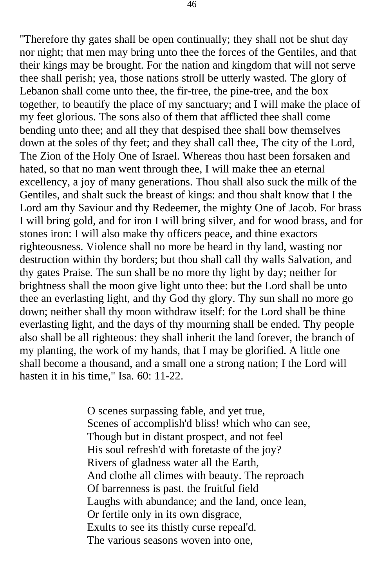"Therefore thy gates shall be open continually; they shall not be shut day nor night; that men may bring unto thee the forces of the Gentiles, and that their kings may be brought. For the nation and kingdom that will not serve thee shall perish; yea, those nations stroll be utterly wasted. The glory of Lebanon shall come unto thee, the fir-tree, the pine-tree, and the box together, to beautify the place of my sanctuary; and I will make the place of my feet glorious. The sons also of them that afflicted thee shall come bending unto thee; and all they that despised thee shall bow themselves down at the soles of thy feet; and they shall call thee, The city of the Lord, The Zion of the Holy One of Israel. Whereas thou hast been forsaken and hated, so that no man went through thee, I will make thee an eternal excellency, a joy of many generations. Thou shall also suck the milk of the Gentiles, and shalt suck the breast of kings: and thou shalt know that I the Lord am thy Saviour and thy Redeemer, the mighty One of Jacob. For brass I will bring gold, and for iron I will bring silver, and for wood brass, and for stones iron: I will also make thy officers peace, and thine exactors righteousness. Violence shall no more be heard in thy land, wasting nor destruction within thy borders; but thou shall call thy walls Salvation, and thy gates Praise. The sun shall be no more thy light by day; neither for brightness shall the moon give light unto thee: but the Lord shall be unto thee an everlasting light, and thy God thy glory. Thy sun shall no more go down; neither shall thy moon withdraw itself: for the Lord shall be thine everlasting light, and the days of thy mourning shall be ended. Thy people also shall be all righteous: they shall inherit the land forever, the branch of my planting, the work of my hands, that I may be glorified. A little one shall become a thousand, and a small one a strong nation; I the Lord will hasten it in his time," Isa. 60: 11-22.

> O scenes surpassing fable, and yet true, Scenes of accomplish'd bliss! which who can see, Though but in distant prospect, and not feel His soul refresh'd with foretaste of the joy? Rivers of gladness water all the Earth, And clothe all climes with beauty. The reproach Of barrenness is past. the fruitful field Laughs with abundance; and the land, once lean, Or fertile only in its own disgrace, Exults to see its thistly curse repeal'd. The various seasons woven into one,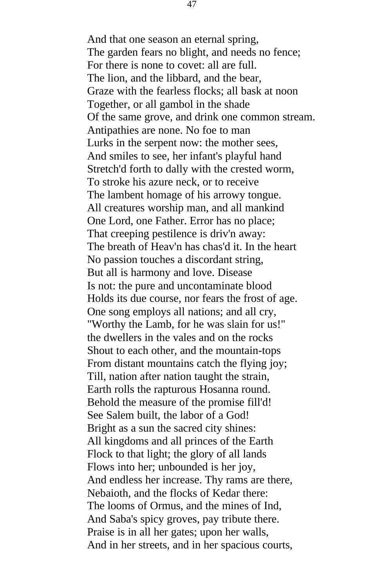And that one season an eternal spring, The garden fears no blight, and needs no fence; For there is none to covet: all are full. The lion, and the libbard, and the bear, Graze with the fearless flocks; all bask at noon Together, or all gambol in the shade Of the same grove, and drink one common stream. Antipathies are none. No foe to man Lurks in the serpent now: the mother sees, And smiles to see, her infant's playful hand Stretch'd forth to dally with the crested worm, To stroke his azure neck, or to receive The lambent homage of his arrowy tongue. All creatures worship man, and all mankind One Lord, one Father. Error has no place; That creeping pestilence is driv'n away: The breath of Heav'n has chas'd it. In the heart No passion touches a discordant string, But all is harmony and love. Disease Is not: the pure and uncontaminate blood Holds its due course, nor fears the frost of age. One song employs all nations; and all cry, "Worthy the Lamb, for he was slain for us!" the dwellers in the vales and on the rocks Shout to each other, and the mountain-tops From distant mountains catch the flying joy; Till, nation after nation taught the strain, Earth rolls the rapturous Hosanna round. Behold the measure of the promise fill'd! See Salem built, the labor of a God! Bright as a sun the sacred city shines: All kingdoms and all princes of the Earth Flock to that light; the glory of all lands Flows into her; unbounded is her joy, And endless her increase. Thy rams are there, Nebaioth, and the flocks of Kedar there: The looms of Ormus, and the mines of Ind, And Saba's spicy groves, pay tribute there. Praise is in all her gates; upon her walls, And in her streets, and in her spacious courts,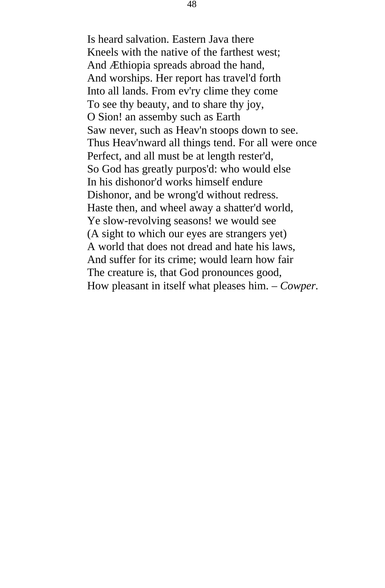Is heard salvation. Eastern Java there Kneels with the native of the farthest west; And Æthiopia spreads abroad the hand, And worships. Her report has travel'd forth Into all lands. From ev'ry clime they come To see thy beauty, and to share thy joy, O Sion! an assemby such as Earth Saw never, such as Heav'n stoops down to see. Thus Heav'nward all things tend. For all were once Perfect, and all must be at length rester'd, So God has greatly purpos'd: who would else In his dishonor'd works himself endure Dishonor, and be wrong'd without redress. Haste then, and wheel away a shatter'd world, Ye slow-revolving seasons! we would see (A sight to which our eyes are strangers yet) A world that does not dread and hate his laws, And suffer for its crime; would learn how fair The creature is, that God pronounces good, How pleasant in itself what pleases him. – *Cowper.*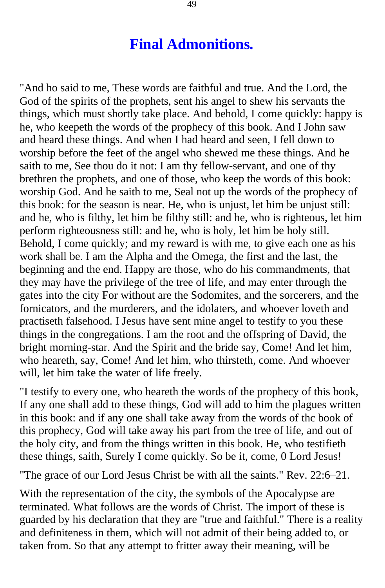### **Final Admonitions.**

<span id="page-48-0"></span>"And ho said to me, These words are faithful and true. And the Lord, the God of the spirits of the prophets, sent his angel to shew his servants the things, which must shortly take place. And behold, I come quickly: happy is he, who keepeth the words of the prophecy of this book. And I John saw and heard these things. And when I had heard and seen, I fell down to worship before the feet of the angel who shewed me these things. And he saith to me, See thou do it not: I am thy fellow-servant, and one of thy brethren the prophets, and one of those, who keep the words of this book: worship God. And he saith to me, Seal not up the words of the prophecy of this book: for the season is near. He, who is unjust, let him be unjust still: and he, who is filthy, let him be filthy still: and he, who is righteous, let him perform righteousness still: and he, who is holy, let him be holy still. Behold, I come quickly; and my reward is with me, to give each one as his work shall be. I am the Alpha and the Omega, the first and the last, the beginning and the end. Happy are those, who do his commandments*,* that they may have the privilege of the tree of life, and may enter through the gates into the city For without are the Sodomites, and the sorcerers, and the fornicators, and the murderers, and the idolaters, and whoever loveth and practiseth falsehood. I Jesus have sent mine angel to testify to you these things in the congregations. I am the root and the offspring of David, the bright morning-star. And the Spirit and the bride say, Come! And let him, who heareth, say, Come! And let him, who thirsteth, come. And whoever will, let him take the water of life freely.

"I testify to every one, who heareth the words of the prophecy of this book, If any one shall add to these things, God will add to him the plagues written in this book: and if any one shall take away from the words of thc book of this prophecy, God will take away his part from the tree of life, and out of the holy city, and from the things written in this book. He, who testifieth these things, saith, Surely I come quickly. So be it, come, 0 Lord Jesus!

"The grace of our Lord Jesus Christ be with all the saints." Rev. 22:6–21.

With the representation of the city, the symbols of the Apocalypse are terminated. What follows are the words of Christ. The import of these is guarded by his declaration that they are "true and faithful." There is a reality and definiteness in them, which will not admit of their being added to, or taken from. So that any attempt to fritter away their meaning, will be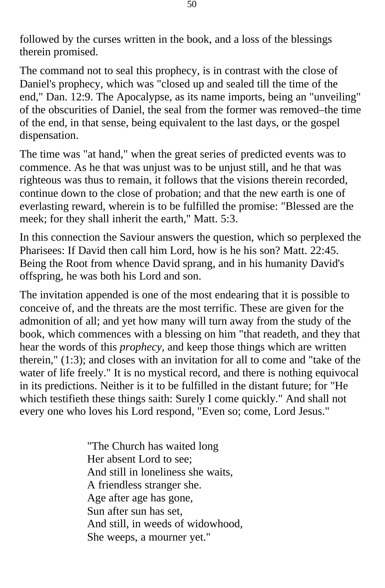followed by the curses written in the book, and a loss of the blessings therein promised.

The command not to seal this prophecy, is in contrast with the close of Daniel's prophecy, which was "closed up and sealed till the time of the end," Dan. 12:9. The Apocalypse, as its name imports, being an "unveiling" of the obscurities of Daniel, the seal from the former was removed–the time of the end, in that sense, being equivalent to the last days, or the gospel dispensation.

The time was "at hand," when the great series of predicted events was to commence. As he that was unjust was to be unjust still, and he that was righteous was thus to remain, it follows that the visions therein recorded, continue down to the close of probation; and that the new earth is one of everlasting reward, wherein is to be fulfilled the promise: "Blessed are the meek; for they shall inherit the earth," Matt. 5:3.

In this connection the Saviour answers the question, which so perplexed the Pharisees: If David then call him Lord, how is he his son? Matt. 22:45. Being the Root from whence David sprang, and in his humanity David's offspring, he was both his Lord and son.

The invitation appended is one of the most endearing that it is possible to conceive of, and the threats are the most terrific. These are given for the admonition of all; and yet how many will turn away from the study of the book, which commences with a blessing on him "that readeth, and they that hear the words of this *prophecy,* and keep those things which are written therein," (1:3); and closes with an invitation for all to come and "take of the water of life freely." It is no mystical record, and there is nothing equivocal in its predictions. Neither is it to be fulfilled in the distant future; for "He which testifieth these things saith: Surely I come quickly." And shall not every one who loves his Lord respond, "Even so; come, Lord Jesus."

> "The Church has waited long Her absent Lord to see; And still in loneliness she waits, A friendless stranger she. Age after age has gone, Sun after sun has set, And still, in weeds of widowhood, She weeps, a mourner yet."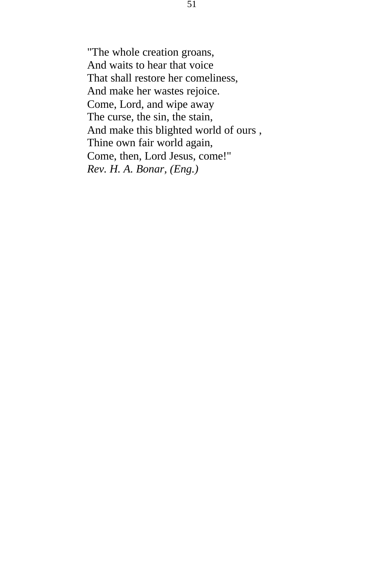"The whole creation groans, And waits to hear that voice That shall restore her comeliness, And make her wastes rejoice. Come, Lord, and wipe away The curse, the sin, the stain, And make this blighted world of ours , Thine own fair world again, Come, then, Lord Jesus, come!" *Rev. H. A. Bonar, (Eng.)*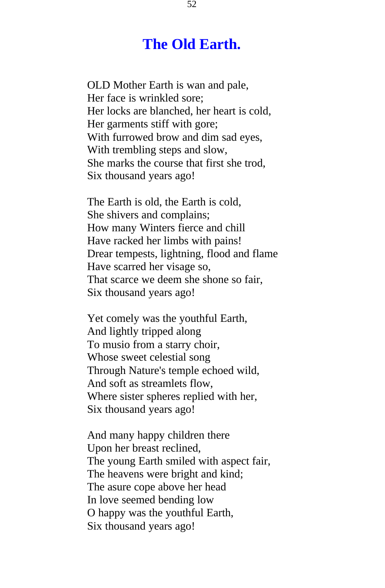### **The Old Earth.**

<span id="page-51-0"></span>OLD Mother Earth is wan and pale, Her face is wrinkled sore; Her locks are blanched, her heart is cold, Her garments stiff with gore; With furrowed brow and dim sad eyes, With trembling steps and slow, She marks the course that first she trod, Six thousand years ago!

The Earth is old, the Earth is cold, She shivers and complains; How many Winters fierce and chill Have racked her limbs with pains! Drear tempests, lightning, flood and flame Have scarred her visage so, That scarce we deem she shone so fair, Six thousand years ago!

Yet comely was the youthful Earth, And lightly tripped along To musio from a starry choir, Whose sweet celestial song Through Nature's temple echoed wild, And soft as streamlets flow, Where sister spheres replied with her, Six thousand years ago!

And many happy children there Upon her breast reclined, The young Earth smiled with aspect fair, The heavens were bright and kind; The asure cope above her head In love seemed bending low O happy was the youthful Earth, Six thousand years ago!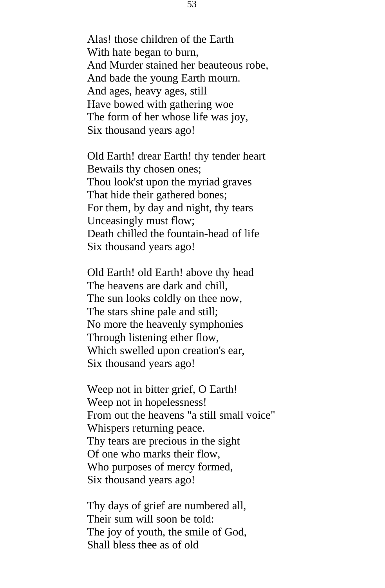Alas! those children of the Earth With hate began to burn, And Murder stained her beauteous robe, And bade the young Earth mourn. And ages, heavy ages, still Have bowed with gathering woe The form of her whose life was joy, Six thousand years ago!

Old Earth! drear Earth! thy tender heart Bewails thy chosen ones; Thou look'st upon the myriad graves That hide their gathered bones; For them, by day and night, thy tears Unceasingly must flow; Death chilled the fountain-head of life Six thousand years ago!

Old Earth! old Earth! above thy head The heavens are dark and chill, The sun looks coldly on thee now, The stars shine pale and still; No more the heavenly symphonies Through listening ether flow, Which swelled upon creation's ear, Six thousand years ago!

Weep not in bitter grief, O Earth! Weep not in hopelessness! From out the heavens "a still small voice" Whispers returning peace. Thy tears are precious in the sight Of one who marks their flow, Who purposes of mercy formed, Six thousand years ago!

Thy days of grief are numbered all, Their sum will soon be told: The joy of youth, the smile of God, Shall bless thee as of old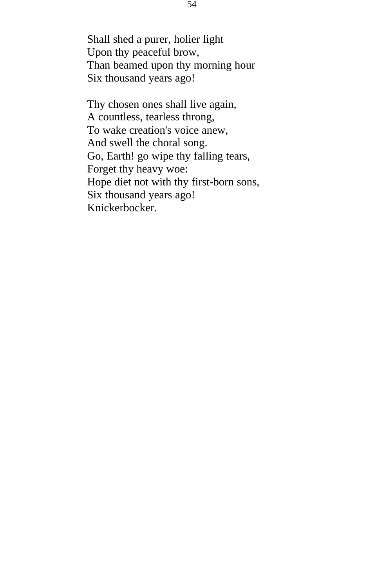Shall shed a purer, holier light Upon thy peaceful brow, Than beamed upon thy morning hour Six thousand years ago!

Thy chosen ones shall live again, A countless, tearless throng, To wake creation's voice anew, And swell the choral song. Go, Earth! go wipe thy falling tears, Forget thy heavy woe: Hope diet not with thy first-born sons, Six thousand years ago! Knickerbocker.